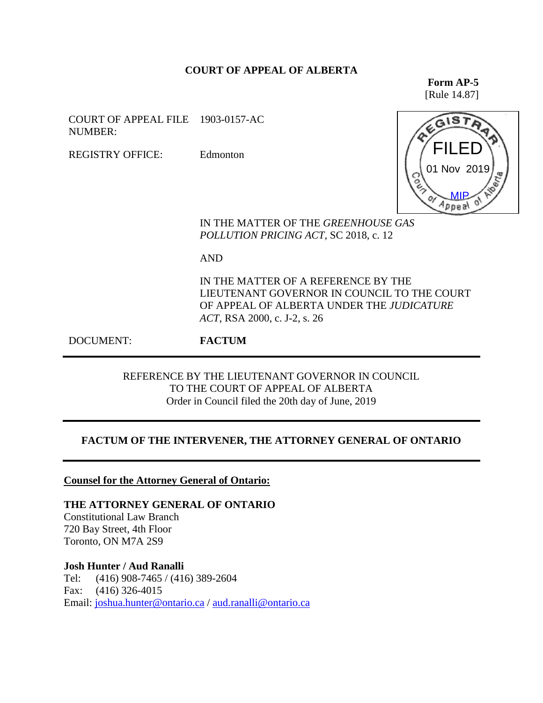## **COURT OF APPEAL OF ALBERTA**

**Form AP-5** [Rule 14.87]

COURT OF APPEAL FILE 1903-0157-AC NUMBER:

REGISTRY OFFICE: Edmonton



IN THE MATTER OF THE *GREENHOUSE GAS POLLUTION PRICING ACT*, SC 2018, c. 12

AND

IN THE MATTER OF A REFERENCE BY THE LIEUTENANT GOVERNOR IN COUNCIL TO THE COURT OF APPEAL OF ALBERTA UNDER THE *JUDICATURE ACT*, RSA 2000, c. J-2, s. 26

DOCUMENT: **FACTUM**

REFERENCE BY THE LIEUTENANT GOVERNOR IN COUNCIL TO THE COURT OF APPEAL OF ALBERTA Order in Council filed the 20th day of June, 2019

## **FACTUM OF THE INTERVENER, THE ATTORNEY GENERAL OF ONTARIO**

**Counsel for the Attorney General of Ontario:**

**THE ATTORNEY GENERAL OF ONTARIO** Constitutional Law Branch 720 Bay Street, 4th Floor Toronto, ON M7A 2S9

**Josh Hunter / Aud Ranalli** Tel: (416) 908-7465 / (416) 389-2604 Fax: (416) 326-4015 Email: [joshua.hunter@ontario.ca](mailto:joshua.hunter@ontario.ca) / [aud.ranalli@ontario.ca](mailto:aud.ranalli@ontario.ca)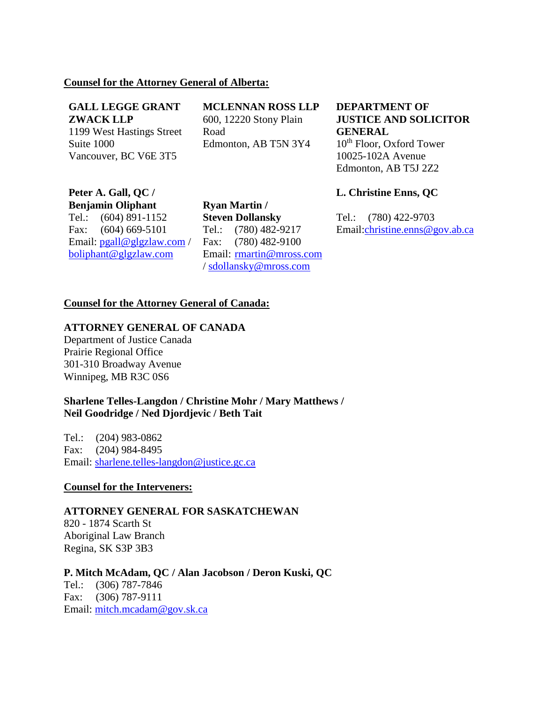## **Counsel for the Attorney General of Alberta:**

#### **GALL LEGGE GRANT ZWACK LLP**

1199 West Hastings Street Suite 1000 Vancouver, BC V6E 3T5

**MCLENNAN ROSS LLP** 600, 12220 Stony Plain Road Edmonton, AB T5N 3Y4

**DEPARTMENT OF JUSTICE AND SOLICITOR GENERAL**  $10<sup>th</sup>$  Floor, Oxford Tower 10025-102A Avenue Edmonton, AB T5J 2Z2

# **Peter A. Gall, QC / Benjamin Oliphant**

Tel.: (604) 891-1152 Fax: (604) 669-5101 Email: [pgall@glgzlaw.com](mailto:pgall@glgzlaw.com) / [boliphant@glgzlaw.com](mailto:boliphant@glgzlaw.com)

**Ryan Martin / Steven Dollansky** Tel.: (780) 482-9217 Fax: (780) 482-9100 Email: [rmartin@mross.com](mailto:rmartin@mross.com) / [sdollansky@mross.com](mailto:sdollansky@mross.com)

## **L. Christine Enns, QC**

Tel.: (780) 422-9703 Email[:christine.enns@gov.ab.ca](mailto:christine.enns@gov.ab.ca)

## **Counsel for the Attorney General of Canada:**

# **ATTORNEY GENERAL OF CANADA**

Department of Justice Canada Prairie Regional Office 301-310 Broadway Avenue Winnipeg, MB R3C 0S6

## **Sharlene Telles-Langdon / Christine Mohr / Mary Matthews / Neil Goodridge / Ned Djordjevic / Beth Tait**

Tel.: (204) 983-0862 Fax: (204) 984-8495 Email: [sharlene.telles-langdon@justice.gc.ca](mailto:sharlene.telles-langdon@justice.gc.ca)

#### **Counsel for the Interveners:**

#### **ATTORNEY GENERAL FOR SASKATCHEWAN**

820 - 1874 Scarth St Aboriginal Law Branch Regina, SK S3P 3B3

**P. Mitch McAdam, QC / Alan Jacobson / Deron Kuski, QC** Tel.: (306) 787-7846 Fax: (306) 787-9111 Email: [mitch.mcadam@gov.sk.ca](mailto:mitch.mcadam@gov.sk.ca)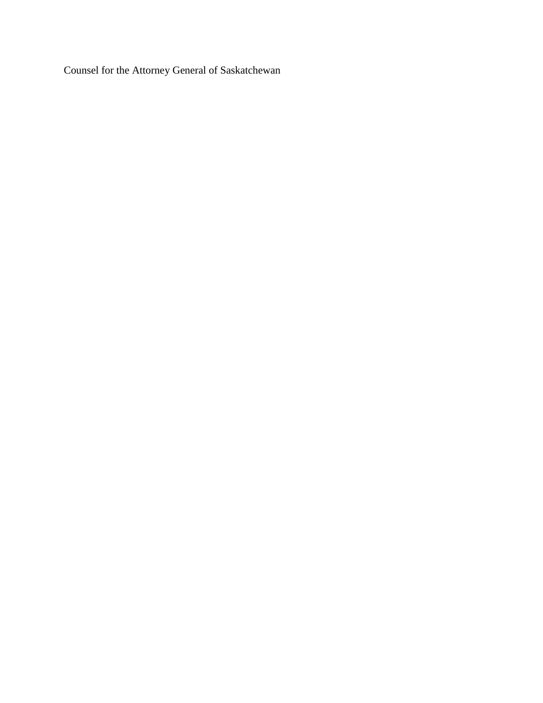Counsel for the Attorney General of Saskatchewan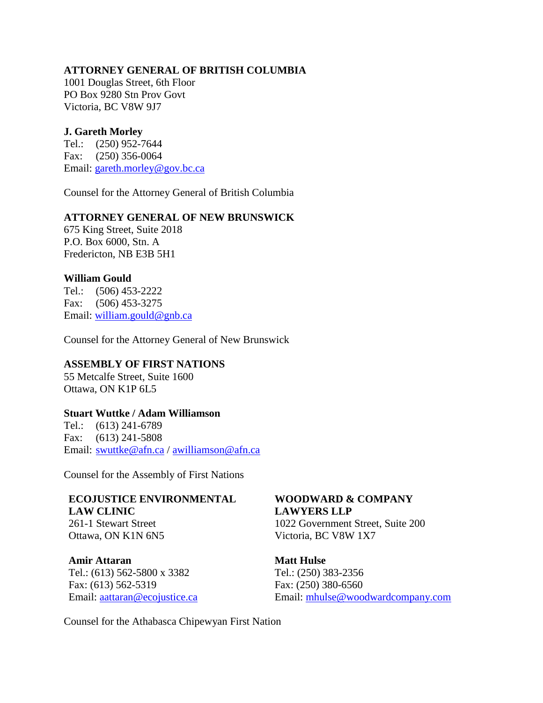## **ATTORNEY GENERAL OF BRITISH COLUMBIA**

1001 Douglas Street, 6th Floor PO Box 9280 Stn Prov Govt Victoria, BC V8W 9J7

## **J. Gareth Morley**

Tel.: (250) 952-7644 Fax: (250) 356-0064 Email: [gareth.morley@gov.bc.ca](mailto:gareth.morley@gov.bc.ca)

Counsel for the Attorney General of British Columbia

## **ATTORNEY GENERAL OF NEW BRUNSWICK**

675 King Street, Suite 2018 P.O. Box 6000, Stn. A Fredericton, NB E3B 5H1

#### **William Gould**

Tel.: (506) 453-2222 Fax: (506) 453-3275 Email: [william.gould@gnb.ca](mailto:william.gould@gnb.ca)

Counsel for the Attorney General of New Brunswick

## **ASSEMBLY OF FIRST NATIONS**

55 Metcalfe Street, Suite 1600 Ottawa, ON K1P 6L5

#### **Stuart Wuttke / Adam Williamson**

Tel.: (613) 241-6789 Fax: (613) 241-5808 Email: [swuttke@afn.ca](mailto:swuttke@afn.ca) / [awilliamson@afn.ca](mailto:awilliamson@afn.ca)

Counsel for the Assembly of First Nations

#### **ECOJUSTICE ENVIRONMENTAL LAW CLINIC**

261-1 Stewart Street Ottawa, ON K1N 6N5

**Amir Attaran** Tel.: (613) 562-5800 x 3382 Fax: (613) 562-5319 Email: [aattaran@ecojustice.ca](mailto:aattaran@ecojustice.ca)

# **WOODWARD & COMPANY LAWYERS LLP**

1022 Government Street, Suite 200 Victoria, BC V8W 1X7

**Matt Hulse** Tel.: (250) 383-2356 Fax: (250) 380-6560 Email: [mhulse@woodwardcompany.com](mailto:mhulse@woodwardcompany.com)

Counsel for the Athabasca Chipewyan First Nation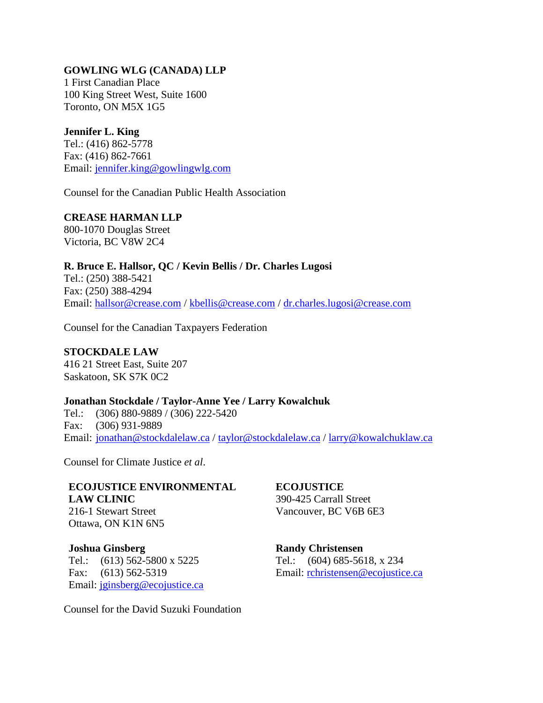# **GOWLING WLG (CANADA) LLP**

1 First Canadian Place 100 King Street West, Suite 1600 Toronto, ON M5X 1G5

## **Jennifer L. King**

Tel.: (416) 862-5778 Fax: (416) 862-7661 Email: [jennifer.king@gowlingwlg.com](mailto:jennifer.king@gowlingwlg.com)

Counsel for the Canadian Public Health Association

# **CREASE HARMAN LLP**

800-1070 Douglas Street Victoria, BC V8W 2C4

# **R. Bruce E. Hallsor, QC / Kevin Bellis / Dr. Charles Lugosi**

Tel.: (250) 388-5421 Fax: (250) 388-4294 Email: [hallsor@crease.com](mailto:hallsor@crease.com) / [kbellis@crease.com](mailto:kbellis@crease.com) / [dr.charles.lugosi@crease.com](mailto:dr.charles.lugosi@crease.com)

Counsel for the Canadian Taxpayers Federation

# **STOCKDALE LAW** 416 21 Street East, Suite 207

Saskatoon, SK S7K 0C2

## **Jonathan Stockdale / Taylor-Anne Yee / Larry Kowalchuk**

Tel.: (306) 880-9889 / (306) 222-5420 Fax: (306) 931-9889 Email: [jonathan@stockdalelaw.ca](mailto:jonathan@stockdalelaw.ca) / [taylor@stockdalelaw.ca](mailto:taylor@stockdalelaw.ca) / [larry@kowalchuklaw.ca](mailto:larry@kowalchuklaw.ca)

Counsel for Climate Justice *et al*.

#### **ECOJUSTICE ENVIRONMENTAL LAW CLINIC** 216-1 Stewart Street

Ottawa, ON K1N 6N5

**Joshua Ginsberg**  Tel.: (613) 562-5800 x 5225 Fax: (613) 562-5319 Email: [jginsberg@ecojustice.ca](mailto:jginsberg@ecojustice.ca) **ECOJUSTICE**  390-425 Carrall Street Vancouver, BC V6B 6E3

**Randy Christensen** Tel.: (604) 685-5618, x 234 Email: [rchristensen@ecojustice.ca](mailto:rchristensen@ecojustice.ca)

Counsel for the David Suzuki Foundation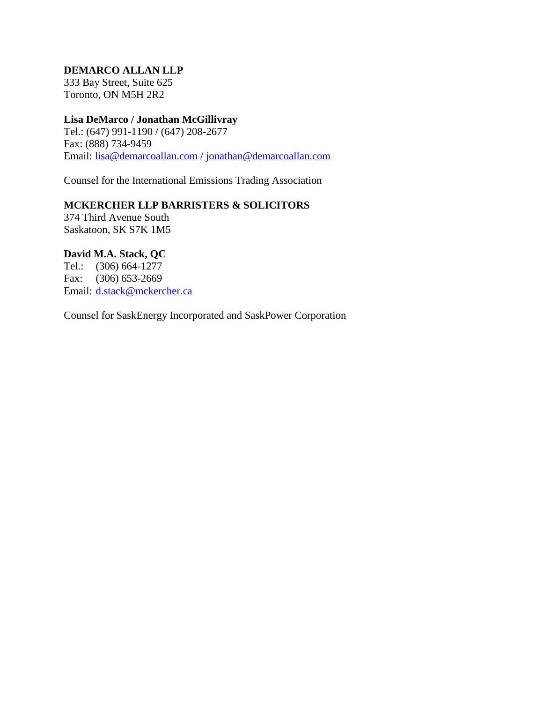# **DEMARCO ALLAN LLP**

333 Bay Street, Suite 625 Toronto, ON M5H 2R2

# **Lisa DeMarco / Jonathan McGillivray**

Tel.: (647) 991-1190 / (647) 208-2677 Fax: (888) 734-9459 Email: [lisa@demarcoallan.com](mailto:lisa@demarcoallan.com) / [jonathan@demarcoallan.com](mailto:jonathan@demarcoallan.com)

Counsel for the International Emissions Trading Association

# **MCKERCHER LLP BARRISTERS & SOLICITORS**

374 Third Avenue South Saskatoon, SK S7K 1M5

# **David M.A. Stack, QC**

Tel.: (306) 664-1277 Fax: (306) 653-2669 Email: [d.stack@mckercher.ca](mailto:d.stack@mckercher.ca)

Counsel for SaskEnergy Incorporated and SaskPower Corporation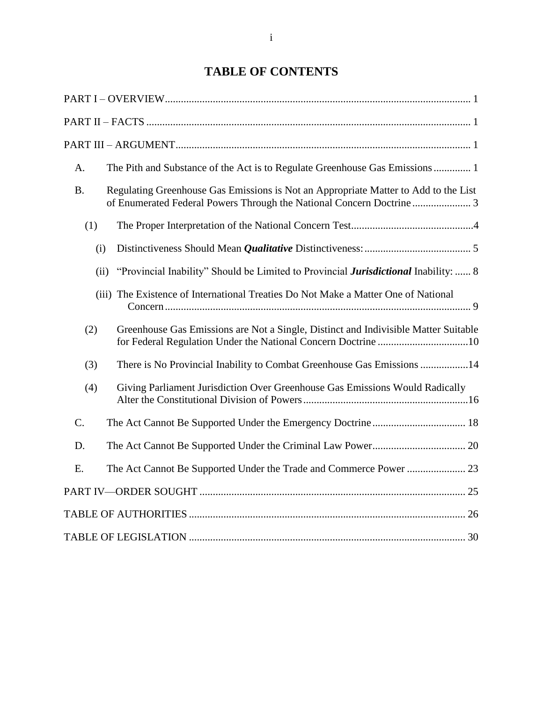# **TABLE OF CONTENTS**

| A.          | The Pith and Substance of the Act is to Regulate Greenhouse Gas Emissions 1                        |
|-------------|----------------------------------------------------------------------------------------------------|
| <b>B.</b>   | Regulating Greenhouse Gas Emissions is Not an Appropriate Matter to Add to the List                |
| (1)         |                                                                                                    |
| (i)         |                                                                                                    |
|             | "Provincial Inability" Should be Limited to Provincial <i>Jurisdictional</i> Inability:  8<br>(ii) |
|             | (iii) The Existence of International Treaties Do Not Make a Matter One of National                 |
| (2)         | Greenhouse Gas Emissions are Not a Single, Distinct and Indivisible Matter Suitable                |
| (3)         | There is No Provincial Inability to Combat Greenhouse Gas Emissions 14                             |
| (4)         | Giving Parliament Jurisdiction Over Greenhouse Gas Emissions Would Radically                       |
| $C_{\cdot}$ |                                                                                                    |
| D.          |                                                                                                    |
| E.          |                                                                                                    |
|             |                                                                                                    |
|             |                                                                                                    |
|             |                                                                                                    |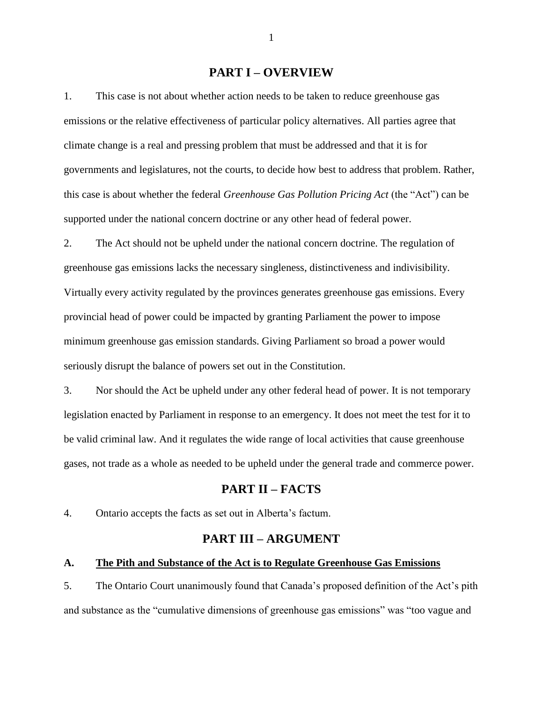#### **PART I – OVERVIEW**

<span id="page-7-0"></span>1. This case is not about whether action needs to be taken to reduce greenhouse gas emissions or the relative effectiveness of particular policy alternatives. All parties agree that climate change is a real and pressing problem that must be addressed and that it is for governments and legislatures, not the courts, to decide how best to address that problem. Rather, this case is about whether the federal *Greenhouse Gas Pollution Pricing Act* (the "Act") can be supported under the national concern doctrine or any other head of federal power.

2. The Act should not be upheld under the national concern doctrine. The regulation of greenhouse gas emissions lacks the necessary singleness, distinctiveness and indivisibility. Virtually every activity regulated by the provinces generates greenhouse gas emissions. Every provincial head of power could be impacted by granting Parliament the power to impose minimum greenhouse gas emission standards. Giving Parliament so broad a power would seriously disrupt the balance of powers set out in the Constitution.

3. Nor should the Act be upheld under any other federal head of power. It is not temporary legislation enacted by Parliament in response to an emergency. It does not meet the test for it to be valid criminal law. And it regulates the wide range of local activities that cause greenhouse gases, not trade as a whole as needed to be upheld under the general trade and commerce power.

# **PART II – FACTS**

<span id="page-7-2"></span><span id="page-7-1"></span>4. Ontario accepts the facts as set out in Alberta's factum.

# **PART III – ARGUMENT**

#### <span id="page-7-3"></span>**A. The Pith and Substance of the Act is to Regulate Greenhouse Gas Emissions**

5. The Ontario Court unanimously found that Canada's proposed definition of the Act's pith and substance as the "cumulative dimensions of greenhouse gas emissions" was "too vague and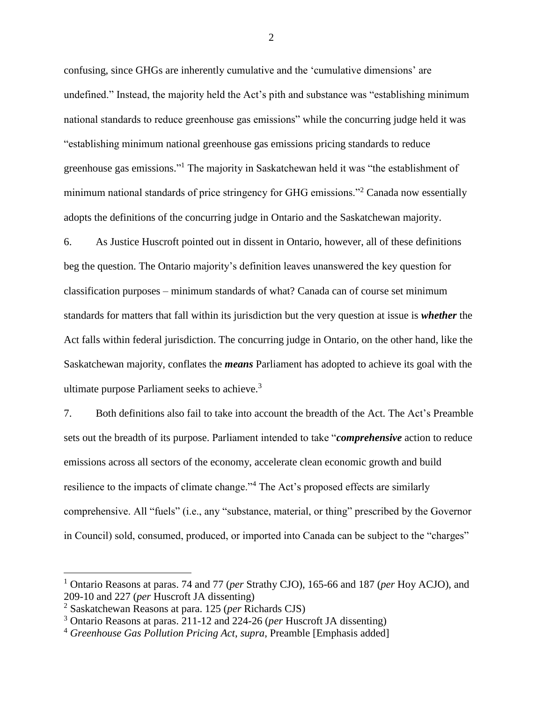confusing, since GHGs are inherently cumulative and the 'cumulative dimensions' are undefined." Instead, the majority held the Act's pith and substance was "establishing minimum national standards to reduce greenhouse gas emissions" while the concurring judge held it was "establishing minimum national greenhouse gas emissions pricing standards to reduce greenhouse gas emissions." <sup>1</sup> The majority in Saskatchewan held it was "the establishment of minimum national standards of price stringency for GHG emissions."<sup>2</sup> Canada now essentially adopts the definitions of the concurring judge in Ontario and the Saskatchewan majority.

6. As Justice Huscroft pointed out in dissent in Ontario, however, all of these definitions beg the question. The Ontario majority's definition leaves unanswered the key question for classification purposes – minimum standards of what? Canada can of course set minimum standards for matters that fall within its jurisdiction but the very question at issue is *whether* the Act falls within federal jurisdiction. The concurring judge in Ontario, on the other hand, like the Saskatchewan majority, conflates the *means* Parliament has adopted to achieve its goal with the ultimate purpose Parliament seeks to achieve.<sup>3</sup>

7. Both definitions also fail to take into account the breadth of the Act. The Act's Preamble sets out the breadth of its purpose. Parliament intended to take "*comprehensive* action to reduce emissions across all sectors of the economy, accelerate clean economic growth and build resilience to the impacts of climate change."<sup>4</sup> The Act's proposed effects are similarly comprehensive. All "fuels" (i.e., any "substance, material, or thing" prescribed by the Governor in Council) sold, consumed, produced, or imported into Canada can be subject to the "charges"

 $\overline{a}$ 

<sup>1</sup> Ontario Reasons at paras. 74 and 77 (*per* Strathy CJO), 165-66 and 187 (*per* Hoy ACJO), and 209-10 and 227 (*per* Huscroft JA dissenting)

<sup>2</sup> Saskatchewan Reasons at para. 125 (*per* Richards CJS)

<sup>3</sup> Ontario Reasons at paras. 211-12 and 224-26 (*per* Huscroft JA dissenting)

<sup>4</sup> *Greenhouse Gas Pollution Pricing Act*, *supra*, Preamble [Emphasis added]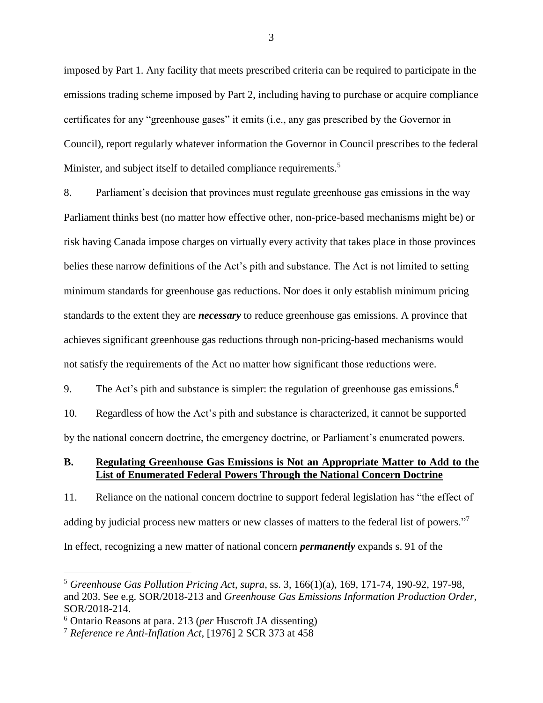imposed by Part 1. Any facility that meets prescribed criteria can be required to participate in the emissions trading scheme imposed by Part 2, including having to purchase or acquire compliance certificates for any "greenhouse gases" it emits (i.e., any gas prescribed by the Governor in Council), report regularly whatever information the Governor in Council prescribes to the federal Minister, and subject itself to detailed compliance requirements.<sup>5</sup>

8. Parliament's decision that provinces must regulate greenhouse gas emissions in the way Parliament thinks best (no matter how effective other, non-price-based mechanisms might be) or risk having Canada impose charges on virtually every activity that takes place in those provinces belies these narrow definitions of the Act's pith and substance. The Act is not limited to setting minimum standards for greenhouse gas reductions. Nor does it only establish minimum pricing standards to the extent they are *necessary* to reduce greenhouse gas emissions. A province that achieves significant greenhouse gas reductions through non-pricing-based mechanisms would not satisfy the requirements of the Act no matter how significant those reductions were.

9. The Act's pith and substance is simpler: the regulation of greenhouse gas emissions.<sup>6</sup>

10. Regardless of how the Act's pith and substance is characterized, it cannot be supported by the national concern doctrine, the emergency doctrine, or Parliament's enumerated powers.

## <span id="page-9-0"></span>**B. Regulating Greenhouse Gas Emissions is Not an Appropriate Matter to Add to the List of Enumerated Federal Powers Through the National Concern Doctrine**

11. Reliance on the national concern doctrine to support federal legislation has "the effect of adding by judicial process new matters or new classes of matters to the federal list of powers."<sup>7</sup> In effect, recognizing a new matter of national concern *permanently* expands s. 91 of the

<sup>5</sup> *Greenhouse Gas Pollution Pricing Act*, *supra*, ss. 3, 166(1)(a), 169, 171-74, 190-92, 197-98, and 203. See e.g. SOR/2018-213 and *Greenhouse Gas Emissions Information Production Order*, SOR/2018-214.

<sup>6</sup> Ontario Reasons at para. 213 (*per* Huscroft JA dissenting)

<sup>7</sup> *Reference re Anti-Inflation Act*, [1976] 2 SCR 373 at 458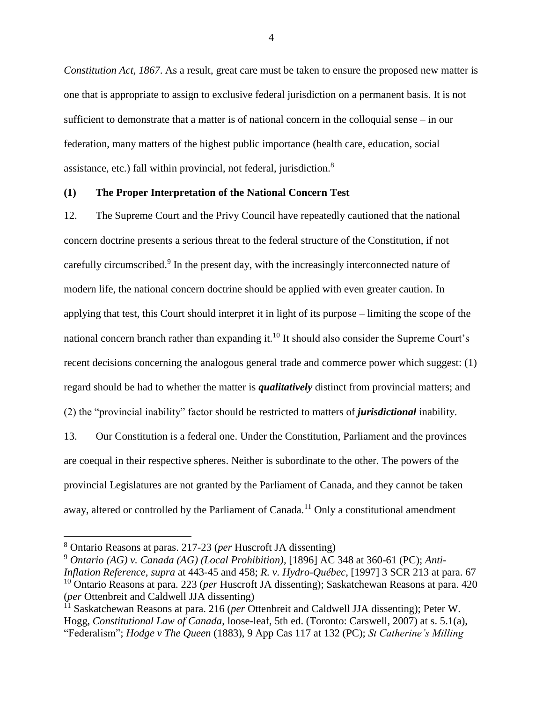*Constitution Act, 1867*. As a result, great care must be taken to ensure the proposed new matter is one that is appropriate to assign to exclusive federal jurisdiction on a permanent basis. It is not sufficient to demonstrate that a matter is of national concern in the colloquial sense – in our federation, many matters of the highest public importance (health care, education, social assistance, etc.) fall within provincial, not federal, jurisdiction.<sup>8</sup>

#### <span id="page-10-0"></span>**(1) The Proper Interpretation of the National Concern Test**

12. The Supreme Court and the Privy Council have repeatedly cautioned that the national concern doctrine presents a serious threat to the federal structure of the Constitution, if not carefully circumscribed.<sup>9</sup> In the present day, with the increasingly interconnected nature of modern life, the national concern doctrine should be applied with even greater caution. In applying that test, this Court should interpret it in light of its purpose – limiting the scope of the national concern branch rather than expanding it.<sup>10</sup> It should also consider the Supreme Court's recent decisions concerning the analogous general trade and commerce power which suggest: (1) regard should be had to whether the matter is *qualitatively* distinct from provincial matters; and (2) the "provincial inability" factor should be restricted to matters of *jurisdictional* inability.

13. Our Constitution is a federal one. Under the Constitution, Parliament and the provinces are coequal in their respective spheres. Neither is subordinate to the other. The powers of the provincial Legislatures are not granted by the Parliament of Canada, and they cannot be taken away, altered or controlled by the Parliament of Canada.<sup>11</sup> Only a constitutional amendment

<sup>8</sup> Ontario Reasons at paras. 217-23 (*per* Huscroft JA dissenting)

<sup>9</sup> *Ontario (AG) v. Canada (AG) (Local Prohibition)*, [1896] AC 348 at 360-61 (PC); *Anti-Inflation Reference*, *supra* at 443-45 and 458; *R. v. Hydro-Québec*, [1997] 3 SCR 213 at para. 67 <sup>10</sup> Ontario Reasons at para. 223 (*per* Huscroft JA dissenting); Saskatchewan Reasons at para. 420 (*per* Ottenbreit and Caldwell JJA dissenting)

<sup>11</sup> Saskatchewan Reasons at para. 216 (*per* Ottenbreit and Caldwell JJA dissenting); Peter W. Hogg, *Constitutional Law of Canada*, loose-leaf, 5th ed. (Toronto: Carswell, 2007) at s. 5.1(a), "Federalism"; *Hodge v The Queen* (1883), 9 App Cas 117 at 132 (PC); *St Catherine's Milling*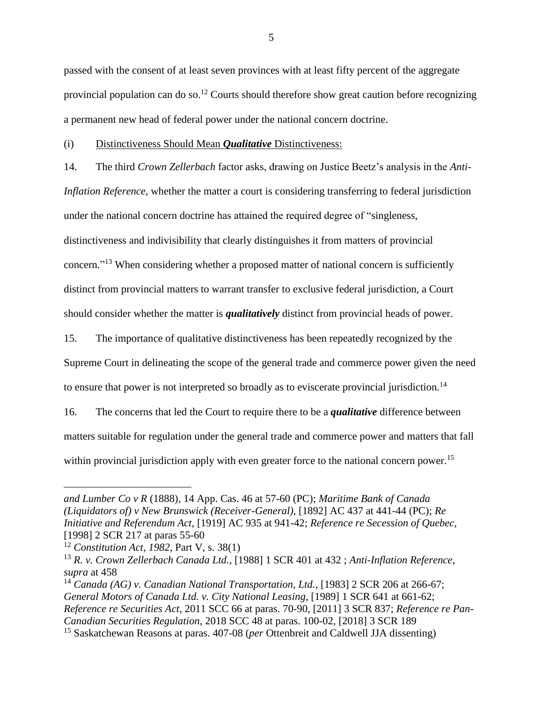passed with the consent of at least seven provinces with at least fifty percent of the aggregate provincial population can do so.<sup>12</sup> Courts should therefore show great caution before recognizing a permanent new head of federal power under the national concern doctrine.

#### <span id="page-11-0"></span>(i) Distinctiveness Should Mean *Qualitative* Distinctiveness:

14. The third *Crown Zellerbach* factor asks, drawing on Justice Beetz's analysis in the *Anti-Inflation Reference*, whether the matter a court is considering transferring to federal jurisdiction under the national concern doctrine has attained the required degree of "singleness, distinctiveness and indivisibility that clearly distinguishes it from matters of provincial concern."<sup>13</sup> When considering whether a proposed matter of national concern is sufficiently distinct from provincial matters to warrant transfer to exclusive federal jurisdiction, a Court should consider whether the matter is *qualitatively* distinct from provincial heads of power.

15. The importance of qualitative distinctiveness has been repeatedly recognized by the

Supreme Court in delineating the scope of the general trade and commerce power given the need

to ensure that power is not interpreted so broadly as to eviscerate provincial jurisdiction.<sup>14</sup>

16. The concerns that led the Court to require there to be a *qualitative* difference between matters suitable for regulation under the general trade and commerce power and matters that fall within provincial jurisdiction apply with even greater force to the national concern power.<sup>15</sup>

*and Lumber Co v R* (1888)*,* 14 App. Cas. 46 at 57-60 (PC); *Maritime Bank of Canada (Liquidators of) v New Brunswick (Receiver-General),* [1892] AC 437 at 441-44 (PC); *Re Initiative and Referendum Act*, [1919] AC 935 at 941-42; *Reference re Secession of Quebec,*  [1998] 2 SCR 217 at paras 55-60

<sup>12</sup> *Constitution Act, 1982,* Part V, s. 38(1)

<sup>13</sup> *R. v. Crown Zellerbach Canada Ltd.*, [1988] 1 SCR 401 at 432 ; *Anti-Inflation Reference*, *supra* at 458

<sup>14</sup> *Canada (AG) v. Canadian National Transportation, Ltd.*, [1983] 2 SCR 206 at 266-67; *General Motors of Canada Ltd. v. City National Leasing*, [1989] 1 SCR 641 at 661-62; *Reference re Securities Act*, 2011 SCC 66 at paras. 70-90, [2011] 3 SCR 837; *Reference re Pan-Canadian Securities Regulation*, 2018 SCC 48 at paras. 100-02, [2018] 3 SCR 189

<sup>15</sup> Saskatchewan Reasons at paras. 407-08 (*per* Ottenbreit and Caldwell JJA dissenting)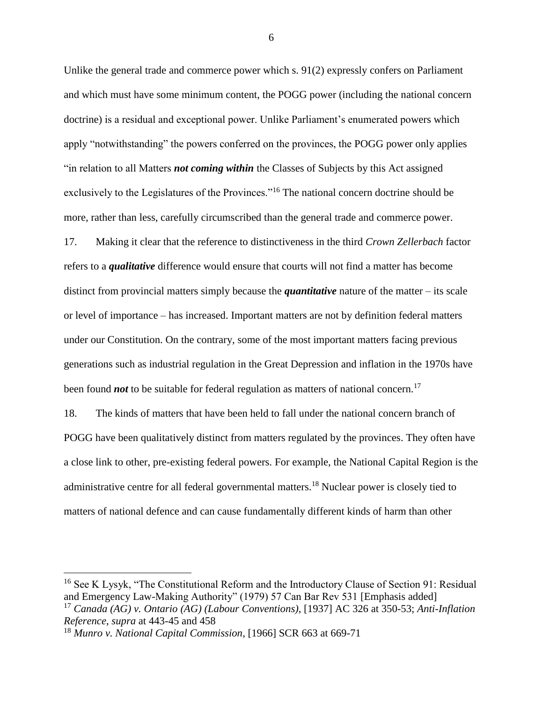Unlike the general trade and commerce power which s. 91(2) expressly confers on Parliament and which must have some minimum content, the POGG power (including the national concern doctrine) is a residual and exceptional power. Unlike Parliament's enumerated powers which apply "notwithstanding" the powers conferred on the provinces, the POGG power only applies "in relation to all Matters *not coming within* the Classes of Subjects by this Act assigned exclusively to the Legislatures of the Provinces."<sup>16</sup> The national concern doctrine should be more, rather than less, carefully circumscribed than the general trade and commerce power.

17. Making it clear that the reference to distinctiveness in the third *Crown Zellerbach* factor refers to a *qualitative* difference would ensure that courts will not find a matter has become distinct from provincial matters simply because the *quantitative* nature of the matter – its scale or level of importance – has increased. Important matters are not by definition federal matters under our Constitution. On the contrary, some of the most important matters facing previous generations such as industrial regulation in the Great Depression and inflation in the 1970s have been found *not* to be suitable for federal regulation as matters of national concern.<sup>17</sup>

18. The kinds of matters that have been held to fall under the national concern branch of POGG have been qualitatively distinct from matters regulated by the provinces. They often have a close link to other, pre-existing federal powers. For example, the National Capital Region is the administrative centre for all federal governmental matters.<sup>18</sup> Nuclear power is closely tied to matters of national defence and can cause fundamentally different kinds of harm than other

 $\overline{a}$ 

<sup>&</sup>lt;sup>16</sup> See K Lysyk, "The Constitutional Reform and the Introductory Clause of Section 91: Residual and Emergency Law-Making Authority" (1979) 57 Can Bar Rev 531 [Emphasis added]

<sup>17</sup> *Canada (AG) v. Ontario (AG) (Labour Conventions)*, [1937] AC 326 at 350-53; *Anti-Inflation Reference*, *supra* at 443-45 and 458

<sup>18</sup> *Munro v. National Capital Commission*, [1966] SCR 663 at 669-71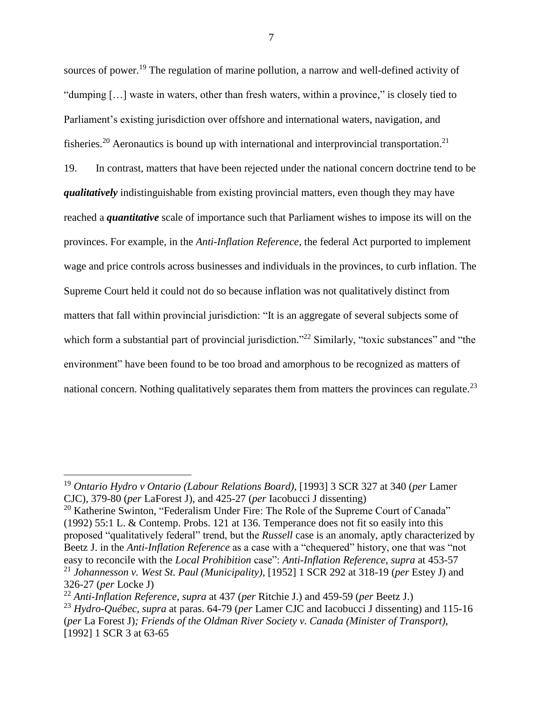sources of power.<sup>19</sup> The regulation of marine pollution, a narrow and well-defined activity of "dumping […] waste in waters, other than fresh waters, within a province," is closely tied to Parliament's existing jurisdiction over offshore and international waters, navigation, and fisheries.<sup>20</sup> Aeronautics is bound up with international and interprovincial transportation.<sup>21</sup> 19. In contrast, matters that have been rejected under the national concern doctrine tend to be *qualitatively* indistinguishable from existing provincial matters, even though they may have reached a *quantitative* scale of importance such that Parliament wishes to impose its will on the provinces. For example, in the *Anti-Inflation Reference*, the federal Act purported to implement wage and price controls across businesses and individuals in the provinces, to curb inflation. The Supreme Court held it could not do so because inflation was not qualitatively distinct from matters that fall within provincial jurisdiction: "It is an aggregate of several subjects some of which form a substantial part of provincial jurisdiction."<sup>22</sup> Similarly, "toxic substances" and "the environment" have been found to be too broad and amorphous to be recognized as matters of national concern. Nothing qualitatively separates them from matters the provinces can regulate.<sup>23</sup>

<sup>22</sup> *Anti-Inflation Reference*, *supra* at 437 (*per* Ritchie J.) and 459-59 (*per* Beetz J.)

 $\overline{a}$ 

<sup>19</sup> *Ontario Hydro v Ontario (Labour Relations Board)*, [1993] 3 SCR 327 at 340 (*per* Lamer CJC), 379-80 (*per* LaForest J), and 425-27 (*per* Iacobucci J dissenting)

<sup>&</sup>lt;sup>20</sup> Katherine Swinton, "Federalism Under Fire: The Role of the Supreme Court of Canada" (1992) 55:1 L. & Contemp. Probs. 121 at 136. Temperance does not fit so easily into this proposed "qualitatively federal" trend, but the *Russell* case is an anomaly, aptly characterized by Beetz J. in the *Anti-Inflation Reference* as a case with a "chequered" history, one that was "not easy to reconcile with the *Local Prohibition* case": *Anti-Inflation Reference*, *supra* at 453-57 <sup>21</sup> *Johannesson v. West St. Paul (Municipality)*, [1952] 1 SCR 292 at 318-19 (*per* Estey J) and 326-27 (*per* Locke J)

<sup>23</sup> *Hydro-Québec*, *supra* at paras. 64-79 (*per* Lamer CJC and Iacobucci J dissenting) and 115-16 (*per* La Forest J)*; Friends of the Oldman River Society v. Canada (Minister of Transport)*, [1992] 1 SCR 3 at 63-65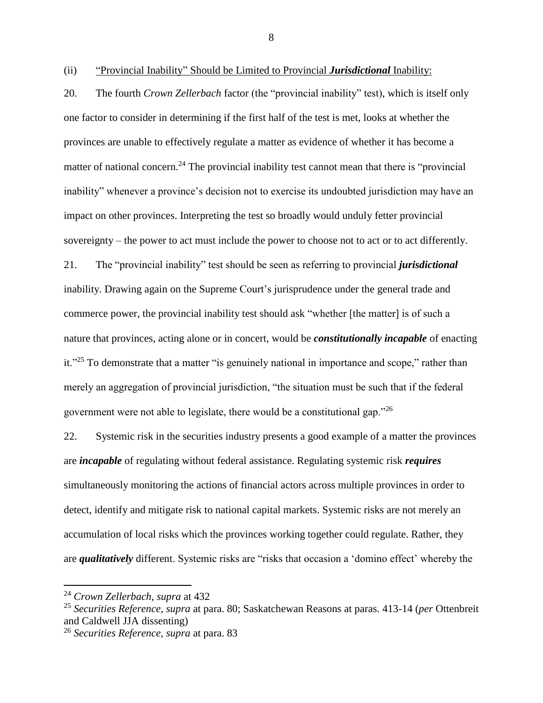20. The fourth *Crown Zellerbach* factor (the "provincial inability" test), which is itself only one factor to consider in determining if the first half of the test is met, looks at whether the provinces are unable to effectively regulate a matter as evidence of whether it has become a matter of national concern.<sup>24</sup> The provincial inability test cannot mean that there is "provincial" inability" whenever a province's decision not to exercise its undoubted jurisdiction may have an impact on other provinces. Interpreting the test so broadly would unduly fetter provincial sovereignty – the power to act must include the power to choose not to act or to act differently. 21. The "provincial inability" test should be seen as referring to provincial *jurisdictional* 

inability. Drawing again on the Supreme Court's jurisprudence under the general trade and commerce power, the provincial inability test should ask "whether [the matter] is of such a nature that provinces, acting alone or in concert, would be *constitutionally incapable* of enacting it."<sup>25</sup> To demonstrate that a matter "is genuinely national in importance and scope," rather than merely an aggregation of provincial jurisdiction, "the situation must be such that if the federal government were not able to legislate, there would be a constitutional gap."<sup>26</sup>

22. Systemic risk in the securities industry presents a good example of a matter the provinces are *incapable* of regulating without federal assistance. Regulating systemic risk *requires* simultaneously monitoring the actions of financial actors across multiple provinces in order to detect, identify and mitigate risk to national capital markets. Systemic risks are not merely an accumulation of local risks which the provinces working together could regulate. Rather, they are *qualitatively* different. Systemic risks are "risks that occasion a 'domino effect' whereby the

<span id="page-14-0"></span><sup>(</sup>ii) "Provincial Inability" Should be Limited to Provincial *Jurisdictional* Inability:

<sup>24</sup> *Crown Zellerbach*, *supra* at 432

<sup>25</sup> *Securities Reference*, *supra* at para. 80; Saskatchewan Reasons at paras. 413-14 (*per* Ottenbreit and Caldwell JJA dissenting)

<sup>26</sup> *Securities Reference*, *supra* at para. 83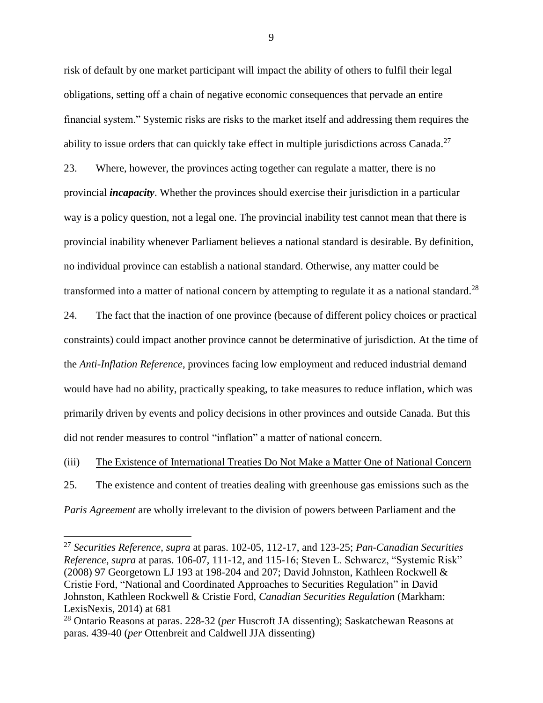risk of default by one market participant will impact the ability of others to fulfil their legal obligations, setting off a chain of negative economic consequences that pervade an entire financial system." Systemic risks are risks to the market itself and addressing them requires the ability to issue orders that can quickly take effect in multiple jurisdictions across Canada.<sup>27</sup> 23. Where, however, the provinces acting together can regulate a matter, there is no provincial *incapacity*. Whether the provinces should exercise their jurisdiction in a particular way is a policy question, not a legal one. The provincial inability test cannot mean that there is provincial inability whenever Parliament believes a national standard is desirable. By definition, no individual province can establish a national standard. Otherwise, any matter could be transformed into a matter of national concern by attempting to regulate it as a national standard.<sup>28</sup>

24. The fact that the inaction of one province (because of different policy choices or practical constraints) could impact another province cannot be determinative of jurisdiction. At the time of the *Anti-Inflation Reference*, provinces facing low employment and reduced industrial demand would have had no ability, practically speaking, to take measures to reduce inflation, which was primarily driven by events and policy decisions in other provinces and outside Canada. But this did not render measures to control "inflation" a matter of national concern.

<span id="page-15-0"></span>(iii) The Existence of International Treaties Do Not Make a Matter One of National Concern 25. The existence and content of treaties dealing with greenhouse gas emissions such as the *Paris Agreement* are wholly irrelevant to the division of powers between Parliament and the

 $\overline{a}$ 

<sup>27</sup> *Securities Reference*, *supra* at paras. 102-05, 112-17, and 123-25; *Pan-Canadian Securities Reference*, *supra* at paras. 106-07, 111-12, and 115-16; Steven L. Schwarcz, "Systemic Risk" (2008) 97 Georgetown LJ 193 at 198-204 and 207; David Johnston, Kathleen Rockwell & Cristie Ford, "National and Coordinated Approaches to Securities Regulation" in David Johnston, Kathleen Rockwell & Cristie Ford, *Canadian Securities Regulation* (Markham: LexisNexis, 2014) at 681

<sup>28</sup> Ontario Reasons at paras. 228-32 (*per* Huscroft JA dissenting); Saskatchewan Reasons at paras. 439-40 (*per* Ottenbreit and Caldwell JJA dissenting)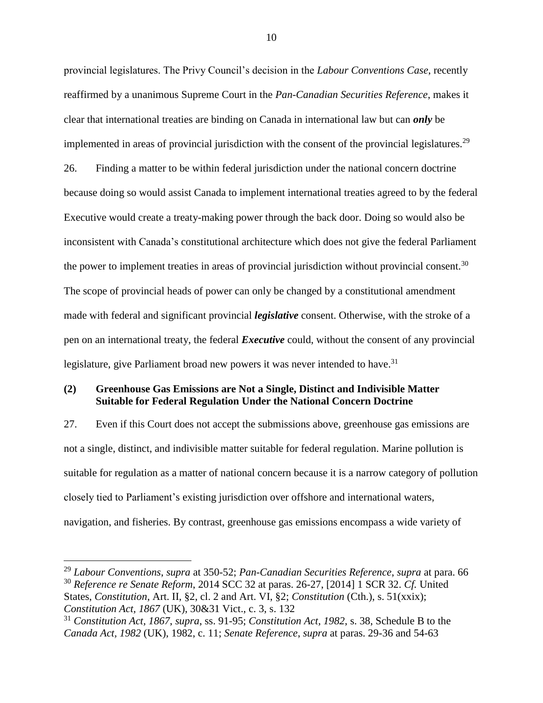provincial legislatures. The Privy Council's decision in the *Labour Conventions Case*, recently reaffirmed by a unanimous Supreme Court in the *Pan-Canadian Securities Reference*, makes it clear that international treaties are binding on Canada in international law but can *only* be implemented in areas of provincial jurisdiction with the consent of the provincial legislatures.<sup>29</sup> 26. Finding a matter to be within federal jurisdiction under the national concern doctrine because doing so would assist Canada to implement international treaties agreed to by the federal Executive would create a treaty-making power through the back door. Doing so would also be inconsistent with Canada's constitutional architecture which does not give the federal Parliament the power to implement treaties in areas of provincial jurisdiction without provincial consent.<sup>30</sup> The scope of provincial heads of power can only be changed by a constitutional amendment made with federal and significant provincial *legislative* consent. Otherwise, with the stroke of a pen on an international treaty, the federal *Executive* could, without the consent of any provincial legislature, give Parliament broad new powers it was never intended to have.<sup>31</sup>

## <span id="page-16-0"></span>**(2) Greenhouse Gas Emissions are Not a Single, Distinct and Indivisible Matter Suitable for Federal Regulation Under the National Concern Doctrine**

27. Even if this Court does not accept the submissions above, greenhouse gas emissions are not a single, distinct, and indivisible matter suitable for federal regulation. Marine pollution is suitable for regulation as a matter of national concern because it is a narrow category of pollution closely tied to Parliament's existing jurisdiction over offshore and international waters, navigation, and fisheries. By contrast, greenhouse gas emissions encompass a wide variety of

<sup>29</sup> *Labour Conventions*, *supra* at 350-52; *Pan-Canadian Securities Reference*, *supra* at para. 66 <sup>30</sup> *Reference re Senate Reform*, 2014 SCC 32 at paras. 26-27, [2014] 1 SCR 32. *Cf.* United States, *Constitution*, Art. II, §2, cl. 2 and Art. VI, §2; *Constitution* (Cth.), s. 51(xxix); *Constitution Act, 1867* (UK), 30&31 Vict., c. 3, s. 132

<sup>31</sup> *Constitution Act, 1867*, *supra*, ss. 91-95; *Constitution Act, 1982*, s. 38, Schedule B to the *Canada Act, 1982* (UK), 1982, c. 11; *Senate Reference*, *supra* at paras. 29-36 and 54-63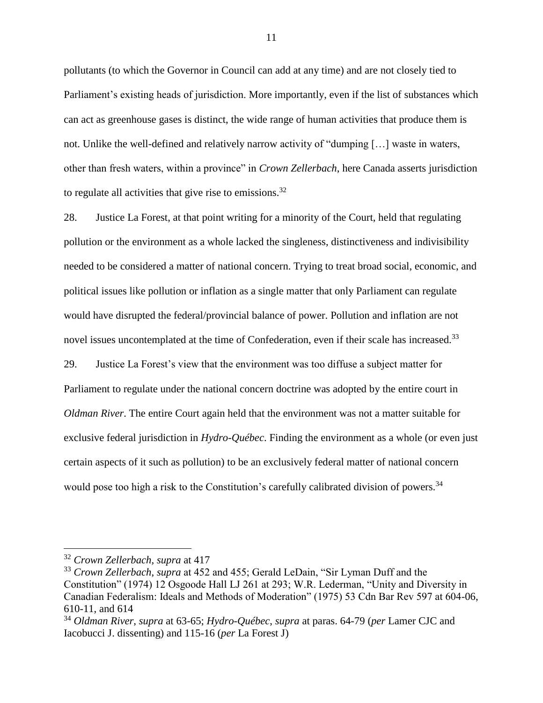pollutants (to which the Governor in Council can add at any time) and are not closely tied to Parliament's existing heads of jurisdiction. More importantly, even if the list of substances which can act as greenhouse gases is distinct, the wide range of human activities that produce them is not. Unlike the well-defined and relatively narrow activity of "dumping […] waste in waters, other than fresh waters, within a province" in *Crown Zellerbach*, here Canada asserts jurisdiction to regulate all activities that give rise to emissions.<sup>32</sup>

28. Justice La Forest, at that point writing for a minority of the Court, held that regulating pollution or the environment as a whole lacked the singleness, distinctiveness and indivisibility needed to be considered a matter of national concern. Trying to treat broad social, economic, and political issues like pollution or inflation as a single matter that only Parliament can regulate would have disrupted the federal/provincial balance of power. Pollution and inflation are not novel issues uncontemplated at the time of Confederation, even if their scale has increased.<sup>33</sup> 29. Justice La Forest's view that the environment was too diffuse a subject matter for Parliament to regulate under the national concern doctrine was adopted by the entire court in *Oldman River*. The entire Court again held that the environment was not a matter suitable for exclusive federal jurisdiction in *Hydro-Québec*. Finding the environment as a whole (or even just certain aspects of it such as pollution) to be an exclusively federal matter of national concern would pose too high a risk to the Constitution's carefully calibrated division of powers.<sup>34</sup>

<sup>32</sup> *Crown Zellerbach*, *supra* at 417

<sup>33</sup> *Crown Zellerbach*, *supra* at 452 and 455; Gerald LeDain, "Sir Lyman Duff and the Constitution" (1974) 12 Osgoode Hall LJ 261 at 293; W.R. Lederman, "Unity and Diversity in Canadian Federalism: Ideals and Methods of Moderation" (1975) 53 Cdn Bar Rev 597 at 604-06, 610-11, and 614

<sup>34</sup> *Oldman River*, *supra* at 63-65; *Hydro-Québec*, *supra* at paras. 64-79 (*per* Lamer CJC and Iacobucci J. dissenting) and 115-16 (*per* La Forest J)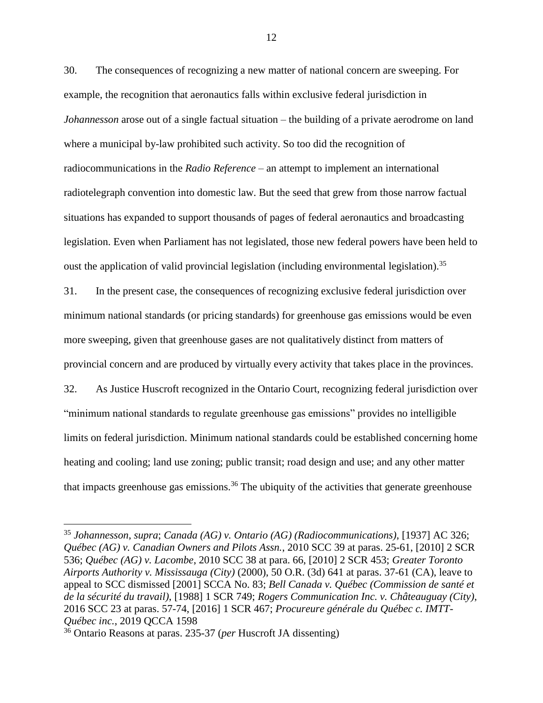30. The consequences of recognizing a new matter of national concern are sweeping. For example, the recognition that aeronautics falls within exclusive federal jurisdiction in *Johannesson* arose out of a single factual situation – the building of a private aerodrome on land where a municipal by-law prohibited such activity. So too did the recognition of radiocommunications in the *Radio Reference* – an attempt to implement an international radiotelegraph convention into domestic law. But the seed that grew from those narrow factual situations has expanded to support thousands of pages of federal aeronautics and broadcasting legislation. Even when Parliament has not legislated, those new federal powers have been held to oust the application of valid provincial legislation (including environmental legislation).<sup>35</sup>

31. In the present case, the consequences of recognizing exclusive federal jurisdiction over minimum national standards (or pricing standards) for greenhouse gas emissions would be even more sweeping, given that greenhouse gases are not qualitatively distinct from matters of provincial concern and are produced by virtually every activity that takes place in the provinces.

32. As Justice Huscroft recognized in the Ontario Court, recognizing federal jurisdiction over "minimum national standards to regulate greenhouse gas emissions" provides no intelligible limits on federal jurisdiction. Minimum national standards could be established concerning home heating and cooling; land use zoning; public transit; road design and use; and any other matter that impacts greenhouse gas emissions.<sup>36</sup> The ubiquity of the activities that generate greenhouse

<sup>35</sup> *Johannesson*, *supra*; *Canada (AG) v. Ontario (AG) (Radiocommunications)*, [1937] AC 326; *Québec (AG) v. Canadian Owners and Pilots Assn.*, 2010 SCC 39 at paras. 25-61, [2010] 2 SCR 536; *Québec (AG) v. Lacombe*, 2010 SCC 38 at para. 66, [2010] 2 SCR 453; *Greater Toronto Airports Authority v. Mississauga (City)* (2000), 50 O.R. (3d) 641 at paras. 37-61 (CA), leave to appeal to SCC dismissed [2001] SCCA No. 83; *Bell Canada v. Québec (Commission de santé et de la sécurité du travail)*, [1988] 1 SCR 749; *Rogers Communication Inc. v. Châteauguay (City)*, 2016 SCC 23 at paras. 57-74, [2016] 1 SCR 467; *Procureure générale du Québec c. IMTT-Québec inc.*, 2019 QCCA 1598

<sup>36</sup> Ontario Reasons at paras. 235-37 (*per* Huscroft JA dissenting)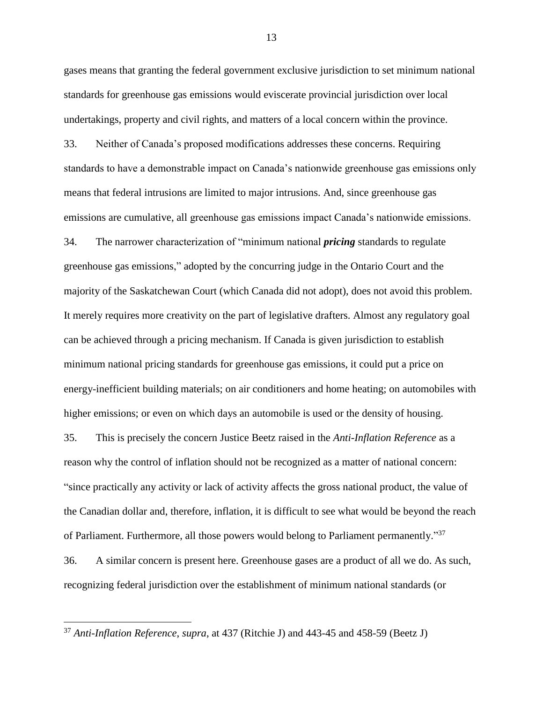gases means that granting the federal government exclusive jurisdiction to set minimum national standards for greenhouse gas emissions would eviscerate provincial jurisdiction over local undertakings, property and civil rights, and matters of a local concern within the province.

33. Neither of Canada's proposed modifications addresses these concerns. Requiring standards to have a demonstrable impact on Canada's nationwide greenhouse gas emissions only means that federal intrusions are limited to major intrusions. And, since greenhouse gas emissions are cumulative, all greenhouse gas emissions impact Canada's nationwide emissions.

34. The narrower characterization of "minimum national *pricing* standards to regulate greenhouse gas emissions," adopted by the concurring judge in the Ontario Court and the majority of the Saskatchewan Court (which Canada did not adopt), does not avoid this problem. It merely requires more creativity on the part of legislative drafters. Almost any regulatory goal can be achieved through a pricing mechanism. If Canada is given jurisdiction to establish minimum national pricing standards for greenhouse gas emissions, it could put a price on energy-inefficient building materials; on air conditioners and home heating; on automobiles with higher emissions; or even on which days an automobile is used or the density of housing.

35. This is precisely the concern Justice Beetz raised in the *Anti-Inflation Reference* as a reason why the control of inflation should not be recognized as a matter of national concern: "since practically any activity or lack of activity affects the gross national product, the value of the Canadian dollar and, therefore, inflation, it is difficult to see what would be beyond the reach of Parliament. Furthermore, all those powers would belong to Parliament permanently."<sup>37</sup> 36. A similar concern is present here. Greenhouse gases are a product of all we do. As such,

recognizing federal jurisdiction over the establishment of minimum national standards (or

 $\overline{a}$ 

<sup>37</sup> *Anti-Inflation Reference*, *supra*, at 437 (Ritchie J) and 443-45 and 458-59 (Beetz J)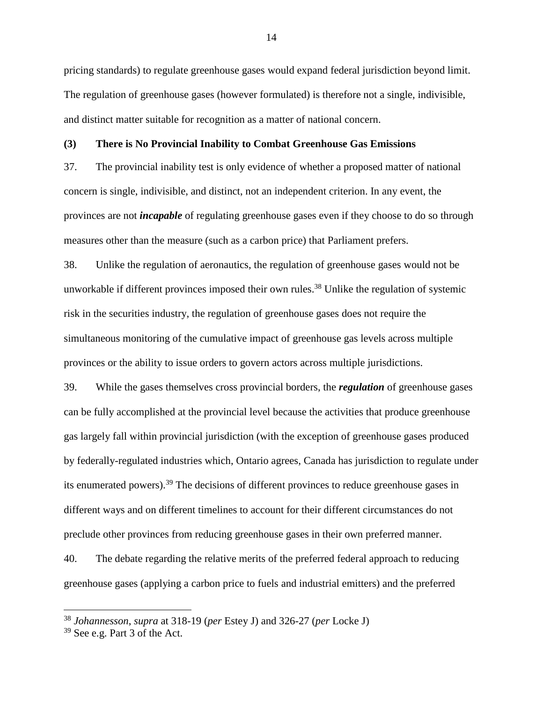pricing standards) to regulate greenhouse gases would expand federal jurisdiction beyond limit. The regulation of greenhouse gases (however formulated) is therefore not a single, indivisible, and distinct matter suitable for recognition as a matter of national concern.

#### <span id="page-20-0"></span>**(3) There is No Provincial Inability to Combat Greenhouse Gas Emissions**

37. The provincial inability test is only evidence of whether a proposed matter of national concern is single, indivisible, and distinct, not an independent criterion. In any event, the provinces are not *incapable* of regulating greenhouse gases even if they choose to do so through measures other than the measure (such as a carbon price) that Parliament prefers.

38. Unlike the regulation of aeronautics, the regulation of greenhouse gases would not be unworkable if different provinces imposed their own rules.<sup>38</sup> Unlike the regulation of systemic risk in the securities industry, the regulation of greenhouse gases does not require the simultaneous monitoring of the cumulative impact of greenhouse gas levels across multiple provinces or the ability to issue orders to govern actors across multiple jurisdictions.

39. While the gases themselves cross provincial borders, the *regulation* of greenhouse gases can be fully accomplished at the provincial level because the activities that produce greenhouse gas largely fall within provincial jurisdiction (with the exception of greenhouse gases produced by federally-regulated industries which, Ontario agrees, Canada has jurisdiction to regulate under its enumerated powers).<sup>39</sup> The decisions of different provinces to reduce greenhouse gases in different ways and on different timelines to account for their different circumstances do not preclude other provinces from reducing greenhouse gases in their own preferred manner.

40. The debate regarding the relative merits of the preferred federal approach to reducing greenhouse gases (applying a carbon price to fuels and industrial emitters) and the preferred

<sup>38</sup> *Johannesson*, *supra* at 318-19 (*per* Estey J) and 326-27 (*per* Locke J)

<sup>39</sup> See e.g. Part 3 of the Act.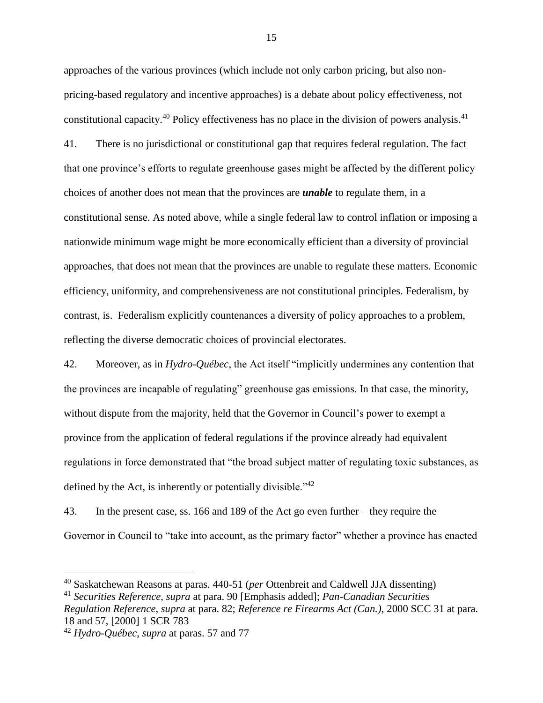approaches of the various provinces (which include not only carbon pricing, but also nonpricing-based regulatory and incentive approaches) is a debate about policy effectiveness, not constitutional capacity.<sup>40</sup> Policy effectiveness has no place in the division of powers analysis.<sup>41</sup> 41. There is no jurisdictional or constitutional gap that requires federal regulation. The fact that one province's efforts to regulate greenhouse gases might be affected by the different policy choices of another does not mean that the provinces are *unable* to regulate them, in a constitutional sense. As noted above, while a single federal law to control inflation or imposing a nationwide minimum wage might be more economically efficient than a diversity of provincial approaches, that does not mean that the provinces are unable to regulate these matters. Economic efficiency, uniformity, and comprehensiveness are not constitutional principles. Federalism, by contrast, is. Federalism explicitly countenances a diversity of policy approaches to a problem, reflecting the diverse democratic choices of provincial electorates.

42. Moreover, as in *Hydro-Québec*, the Act itself "implicitly undermines any contention that the provinces are incapable of regulating" greenhouse gas emissions. In that case, the minority, without dispute from the majority, held that the Governor in Council's power to exempt a province from the application of federal regulations if the province already had equivalent regulations in force demonstrated that "the broad subject matter of regulating toxic substances, as defined by the Act, is inherently or potentially divisible."<sup>42</sup>

43. In the present case, ss. 166 and 189 of the Act go even further – they require the Governor in Council to "take into account, as the primary factor" whether a province has enacted

 $\overline{a}$ 

<sup>40</sup> Saskatchewan Reasons at paras. 440-51 (*per* Ottenbreit and Caldwell JJA dissenting)

<sup>41</sup> *Securities Reference*, *supra* at para. 90 [Emphasis added]; *Pan-Canadian Securities* 

*Regulation Reference*, *supra* at para. 82; *Reference re Firearms Act (Can.)*, 2000 SCC 31 at para. 18 and 57, [2000] 1 SCR 783

<sup>42</sup> *Hydro-Québec*, *supra* at paras. 57 and 77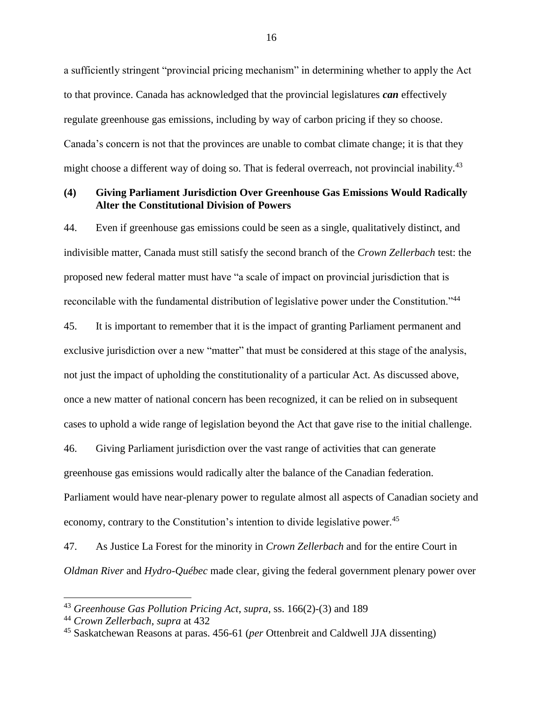a sufficiently stringent "provincial pricing mechanism" in determining whether to apply the Act to that province. Canada has acknowledged that the provincial legislatures *can* effectively regulate greenhouse gas emissions, including by way of carbon pricing if they so choose. Canada's concern is not that the provinces are unable to combat climate change; it is that they might choose a different way of doing so. That is federal overreach, not provincial inability.<sup>43</sup>

## <span id="page-22-0"></span>**(4) Giving Parliament Jurisdiction Over Greenhouse Gas Emissions Would Radically Alter the Constitutional Division of Powers**

44. Even if greenhouse gas emissions could be seen as a single, qualitatively distinct, and indivisible matter, Canada must still satisfy the second branch of the *Crown Zellerbach* test: the proposed new federal matter must have "a scale of impact on provincial jurisdiction that is reconcilable with the fundamental distribution of legislative power under the Constitution."<sup>44</sup> 45. It is important to remember that it is the impact of granting Parliament permanent and exclusive jurisdiction over a new "matter" that must be considered at this stage of the analysis, not just the impact of upholding the constitutionality of a particular Act. As discussed above, once a new matter of national concern has been recognized, it can be relied on in subsequent cases to uphold a wide range of legislation beyond the Act that gave rise to the initial challenge.

46. Giving Parliament jurisdiction over the vast range of activities that can generate greenhouse gas emissions would radically alter the balance of the Canadian federation. Parliament would have near-plenary power to regulate almost all aspects of Canadian society and economy, contrary to the Constitution's intention to divide legislative power.<sup>45</sup>

47. As Justice La Forest for the minority in *Crown Zellerbach* and for the entire Court in *Oldman River* and *Hydro-Québec* made clear, giving the federal government plenary power over

<sup>43</sup> *Greenhouse Gas Pollution Pricing Act*, *supra*, ss. 166(2)-(3) and 189

<sup>44</sup> *Crown Zellerbach*, *supra* at 432

<sup>45</sup> Saskatchewan Reasons at paras. 456-61 (*per* Ottenbreit and Caldwell JJA dissenting)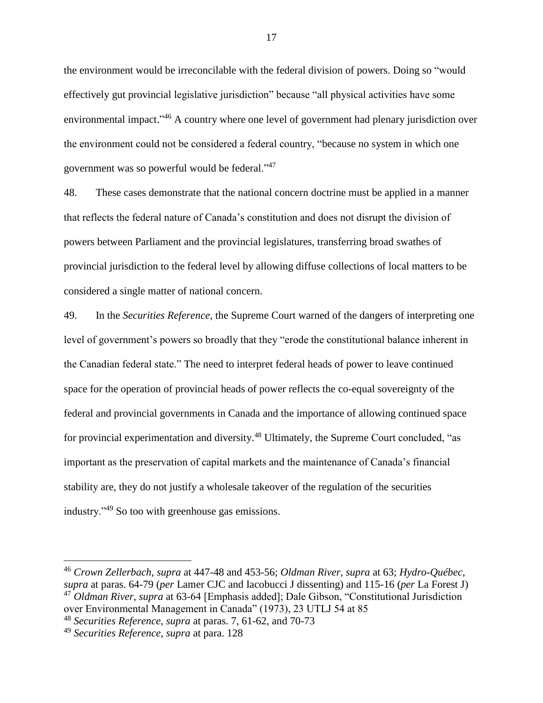the environment would be irreconcilable with the federal division of powers. Doing so "would effectively gut provincial legislative jurisdiction" because "all physical activities have some environmental impact."<sup>46</sup> A country where one level of government had plenary jurisdiction over the environment could not be considered a federal country, "because no system in which one government was so powerful would be federal."<sup>47</sup>

48. These cases demonstrate that the national concern doctrine must be applied in a manner that reflects the federal nature of Canada's constitution and does not disrupt the division of powers between Parliament and the provincial legislatures, transferring broad swathes of provincial jurisdiction to the federal level by allowing diffuse collections of local matters to be considered a single matter of national concern.

49. In the *Securities Reference*, the Supreme Court warned of the dangers of interpreting one level of government's powers so broadly that they "erode the constitutional balance inherent in the Canadian federal state." The need to interpret federal heads of power to leave continued space for the operation of provincial heads of power reflects the co-equal sovereignty of the federal and provincial governments in Canada and the importance of allowing continued space for provincial experimentation and diversity.<sup>48</sup> Ultimately, the Supreme Court concluded, "as important as the preservation of capital markets and the maintenance of Canada's financial stability are, they do not justify a wholesale takeover of the regulation of the securities industry."<sup>49</sup> So too with greenhouse gas emissions.

<sup>46</sup> *Crown Zellerbach*, *supra* at 447-48 and 453-56; *Oldman River*, *supra* at 63; *Hydro-Québec*, *supra* at paras. 64-79 (*per* Lamer CJC and Iacobucci J dissenting) and 115-16 (*per* La Forest J) <sup>47</sup> *Oldman River*, *supra* at 63-64 [Emphasis added]; Dale Gibson, "Constitutional Jurisdiction over Environmental Management in Canada" (1973), 23 UTLJ 54 at 85

<sup>48</sup> *Securities Reference*, *supra* at paras. 7, 61-62, and 70-73

<sup>49</sup> *Securities Reference*, *supra* at para. 128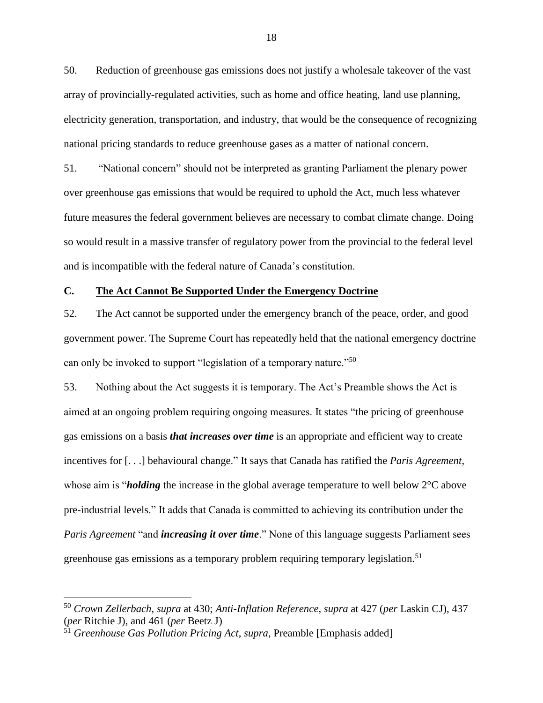50. Reduction of greenhouse gas emissions does not justify a wholesale takeover of the vast array of provincially-regulated activities, such as home and office heating, land use planning, electricity generation, transportation, and industry, that would be the consequence of recognizing national pricing standards to reduce greenhouse gases as a matter of national concern.

51. "National concern" should not be interpreted as granting Parliament the plenary power over greenhouse gas emissions that would be required to uphold the Act, much less whatever future measures the federal government believes are necessary to combat climate change. Doing so would result in a massive transfer of regulatory power from the provincial to the federal level and is incompatible with the federal nature of Canada's constitution.

## <span id="page-24-0"></span>**C. The Act Cannot Be Supported Under the Emergency Doctrine**

52. The Act cannot be supported under the emergency branch of the peace, order, and good government power. The Supreme Court has repeatedly held that the national emergency doctrine can only be invoked to support "legislation of a temporary nature."<sup>50</sup>

53. Nothing about the Act suggests it is temporary. The Act's Preamble shows the Act is aimed at an ongoing problem requiring ongoing measures. It states "the pricing of greenhouse gas emissions on a basis *that increases over time* is an appropriate and efficient way to create incentives for [. . .] behavioural change." It says that Canada has ratified the *Paris Agreement*, whose aim is "*holding* the increase in the global average temperature to well below 2°C above pre-industrial levels." It adds that Canada is committed to achieving its contribution under the *Paris Agreement* "and *increasing it over time*." None of this language suggests Parliament sees greenhouse gas emissions as a temporary problem requiring temporary legislation.<sup>51</sup>

<sup>50</sup> *Crown Zellerbach*, *supra* at 430; *Anti-Inflation Reference*, *supra* at 427 (*per* Laskin CJ), 437 (*per* Ritchie J), and 461 (*per* Beetz J)

<sup>51</sup> *Greenhouse Gas Pollution Pricing Act*, *supra*, Preamble [Emphasis added]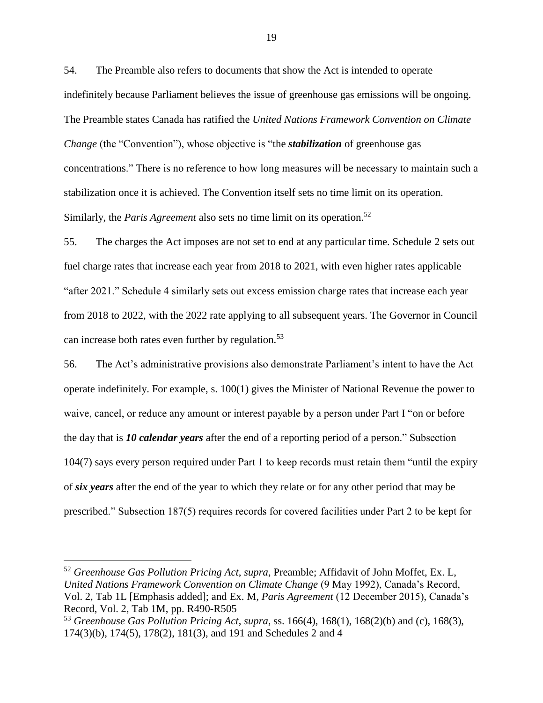54. The Preamble also refers to documents that show the Act is intended to operate indefinitely because Parliament believes the issue of greenhouse gas emissions will be ongoing. The Preamble states Canada has ratified the *United Nations Framework Convention on Climate Change* (the "Convention"), whose objective is "the *stabilization* of greenhouse gas concentrations." There is no reference to how long measures will be necessary to maintain such a stabilization once it is achieved. The Convention itself sets no time limit on its operation. Similarly, the *Paris Agreement* also sets no time limit on its operation.<sup>52</sup>

55. The charges the Act imposes are not set to end at any particular time. Schedule 2 sets out fuel charge rates that increase each year from 2018 to 2021, with even higher rates applicable "after 2021." Schedule 4 similarly sets out excess emission charge rates that increase each year from 2018 to 2022, with the 2022 rate applying to all subsequent years. The Governor in Council can increase both rates even further by regulation.<sup>53</sup>

56. The Act's administrative provisions also demonstrate Parliament's intent to have the Act operate indefinitely. For example, s. 100(1) gives the Minister of National Revenue the power to waive, cancel, or reduce any amount or interest payable by a person under Part I "on or before the day that is *10 calendar years* after the end of a reporting period of a person." Subsection 104(7) says every person required under Part 1 to keep records must retain them "until the expiry of *six years* after the end of the year to which they relate or for any other period that may be prescribed." Subsection 187(5) requires records for covered facilities under Part 2 to be kept for

<sup>52</sup> *Greenhouse Gas Pollution Pricing Act*, *supra*, Preamble; Affidavit of John Moffet, Ex. L, *United Nations Framework Convention on Climate Change* (9 May 1992), Canada's Record, Vol. 2, Tab 1L [Emphasis added]; and Ex. M, *Paris Agreement* (12 December 2015), Canada's Record, Vol. 2, Tab 1M, pp. R490-R505

<sup>53</sup> *Greenhouse Gas Pollution Pricing Act*, *supra*, ss. 166(4), 168(1), 168(2)(b) and (c), 168(3), 174(3)(b), 174(5), 178(2), 181(3), and 191 and Schedules 2 and 4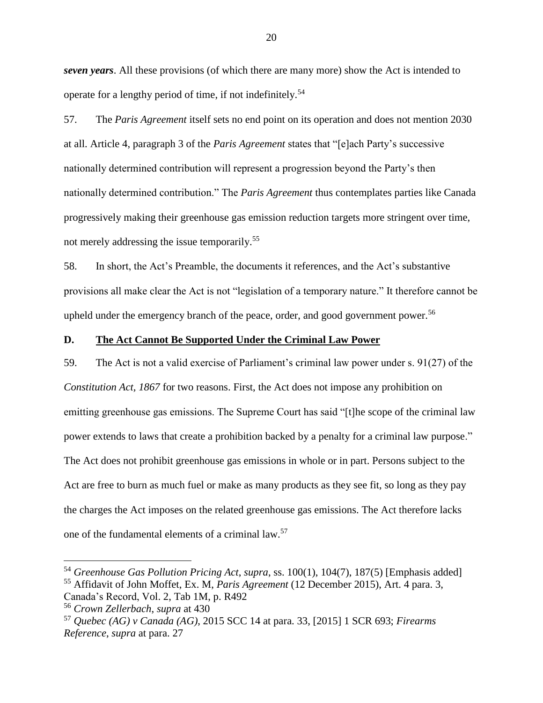*seven years*. All these provisions (of which there are many more) show the Act is intended to operate for a lengthy period of time, if not indefinitely.<sup>54</sup>

57. The *Paris Agreement* itself sets no end point on its operation and does not mention 2030 at all. Article 4, paragraph 3 of the *Paris Agreement* states that "[e]ach Party's successive nationally determined contribution will represent a progression beyond the Party's then nationally determined contribution." The *Paris Agreement* thus contemplates parties like Canada progressively making their greenhouse gas emission reduction targets more stringent over time, not merely addressing the issue temporarily.<sup>55</sup>

58. In short, the Act's Preamble, the documents it references, and the Act's substantive provisions all make clear the Act is not "legislation of a temporary nature." It therefore cannot be upheld under the emergency branch of the peace, order, and good government power.<sup>56</sup>

#### <span id="page-26-0"></span>**D. The Act Cannot Be Supported Under the Criminal Law Power**

59. The Act is not a valid exercise of Parliament's criminal law power under s. 91(27) of the *Constitution Act, 1867* for two reasons. First, the Act does not impose any prohibition on emitting greenhouse gas emissions. The Supreme Court has said "[t]he scope of the criminal law power extends to laws that create a prohibition backed by a penalty for a criminal law purpose." The Act does not prohibit greenhouse gas emissions in whole or in part. Persons subject to the Act are free to burn as much fuel or make as many products as they see fit, so long as they pay the charges the Act imposes on the related greenhouse gas emissions. The Act therefore lacks one of the fundamental elements of a criminal law.<sup>57</sup>

<sup>54</sup> *Greenhouse Gas Pollution Pricing Act*, *supra*, ss. 100(1), 104(7), 187(5) [Emphasis added] <sup>55</sup> Affidavit of John Moffet, Ex. M, *Paris Agreement* (12 December 2015), Art. 4 para. 3, Canada's Record, Vol. 2, Tab 1M, p. R492

<sup>56</sup> *Crown Zellerbach*, *supra* at 430

<sup>57</sup> *Quebec (AG) v Canada (AG)*, 2015 SCC 14 at para. 33, [2015] 1 SCR 693; *Firearms Reference*, *supra* at para. 27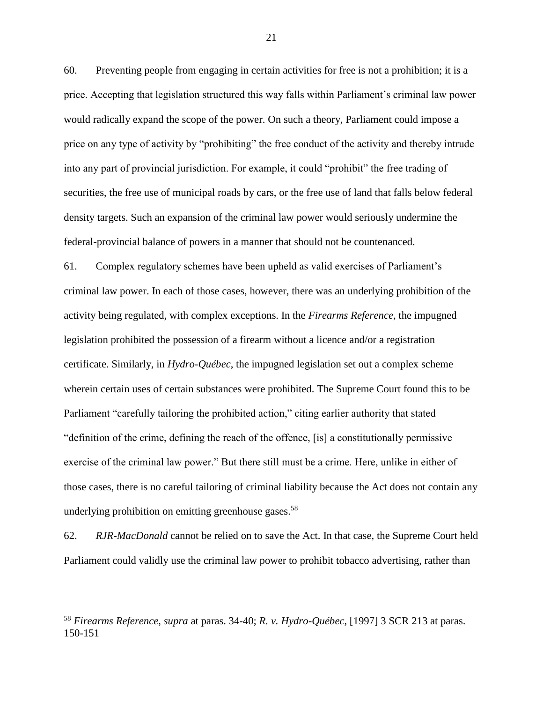60. Preventing people from engaging in certain activities for free is not a prohibition; it is a price. Accepting that legislation structured this way falls within Parliament's criminal law power would radically expand the scope of the power. On such a theory, Parliament could impose a price on any type of activity by "prohibiting" the free conduct of the activity and thereby intrude into any part of provincial jurisdiction. For example, it could "prohibit" the free trading of securities, the free use of municipal roads by cars, or the free use of land that falls below federal density targets. Such an expansion of the criminal law power would seriously undermine the federal-provincial balance of powers in a manner that should not be countenanced.

61. Complex regulatory schemes have been upheld as valid exercises of Parliament's criminal law power. In each of those cases, however, there was an underlying prohibition of the activity being regulated, with complex exceptions. In the *Firearms Reference*, the impugned legislation prohibited the possession of a firearm without a licence and/or a registration certificate. Similarly, in *Hydro-Québec*, the impugned legislation set out a complex scheme wherein certain uses of certain substances were prohibited. The Supreme Court found this to be Parliament "carefully tailoring the prohibited action," citing earlier authority that stated "definition of the crime, defining the reach of the offence, [is] a constitutionally permissive exercise of the criminal law power." But there still must be a crime. Here, unlike in either of those cases, there is no careful tailoring of criminal liability because the Act does not contain any underlying prohibition on emitting greenhouse gases.<sup>58</sup>

62. *RJR-MacDonald* cannot be relied on to save the Act. In that case, the Supreme Court held Parliament could validly use the criminal law power to prohibit tobacco advertising, rather than

 $\overline{a}$ 

<sup>58</sup> *Firearms Reference*, *supra* at paras. 34-40; *R. v. Hydro-Québec*, [1997] 3 SCR 213 at paras. 150-151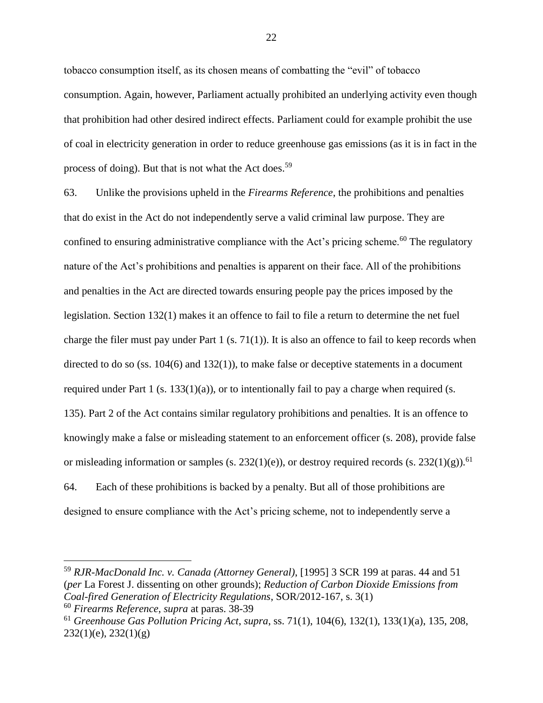tobacco consumption itself, as its chosen means of combatting the "evil" of tobacco consumption. Again, however, Parliament actually prohibited an underlying activity even though that prohibition had other desired indirect effects. Parliament could for example prohibit the use of coal in electricity generation in order to reduce greenhouse gas emissions (as it is in fact in the process of doing). But that is not what the Act does.<sup>59</sup>

63. Unlike the provisions upheld in the *Firearms Reference*, the prohibitions and penalties that do exist in the Act do not independently serve a valid criminal law purpose. They are confined to ensuring administrative compliance with the Act's pricing scheme.<sup>60</sup> The regulatory nature of the Act's prohibitions and penalties is apparent on their face. All of the prohibitions and penalties in the Act are directed towards ensuring people pay the prices imposed by the legislation. Section 132(1) makes it an offence to fail to file a return to determine the net fuel charge the filer must pay under Part 1 (s. 71(1)). It is also an offence to fail to keep records when directed to do so (ss.  $104(6)$  and  $132(1)$ ), to make false or deceptive statements in a document required under Part 1 (s.  $133(1)(a)$ ), or to intentionally fail to pay a charge when required (s. 135). Part 2 of the Act contains similar regulatory prohibitions and penalties. It is an offence to knowingly make a false or misleading statement to an enforcement officer (s. 208), provide false or misleading information or samples (s. 232(1)(e)), or destroy required records (s. 232(1)(g)).<sup>61</sup> 64. Each of these prohibitions is backed by a penalty. But all of those prohibitions are designed to ensure compliance with the Act's pricing scheme, not to independently serve a

<sup>59</sup> *RJR-MacDonald Inc. v. Canada (Attorney General)*, [1995] 3 SCR 199 at paras. 44 and 51 (*per* La Forest J. dissenting on other grounds); *Reduction of Carbon Dioxide Emissions from Coal-fired Generation of Electricity Regulations*, SOR/2012-167, s. 3(1)

<sup>60</sup> *Firearms Reference*, *supra* at paras. 38-39

<sup>61</sup> *Greenhouse Gas Pollution Pricing Act*, *supra*, ss. 71(1), 104(6), 132(1), 133(1)(a), 135, 208, 232(1)(e), 232(1)(g)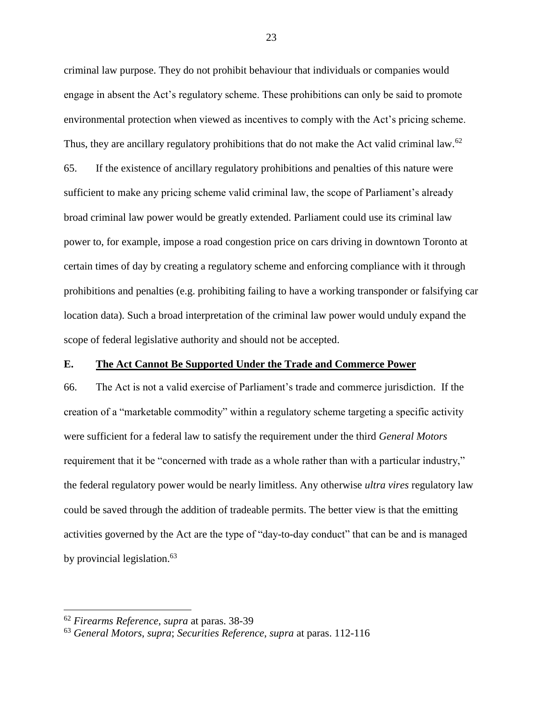criminal law purpose. They do not prohibit behaviour that individuals or companies would engage in absent the Act's regulatory scheme. These prohibitions can only be said to promote environmental protection when viewed as incentives to comply with the Act's pricing scheme. Thus, they are ancillary regulatory prohibitions that do not make the Act valid criminal law.<sup>62</sup> 65. If the existence of ancillary regulatory prohibitions and penalties of this nature were sufficient to make any pricing scheme valid criminal law, the scope of Parliament's already broad criminal law power would be greatly extended. Parliament could use its criminal law power to, for example, impose a road congestion price on cars driving in downtown Toronto at certain times of day by creating a regulatory scheme and enforcing compliance with it through prohibitions and penalties (e.g. prohibiting failing to have a working transponder or falsifying car location data). Such a broad interpretation of the criminal law power would unduly expand the scope of federal legislative authority and should not be accepted.

## <span id="page-29-0"></span>**E. The Act Cannot Be Supported Under the Trade and Commerce Power**

66. The Act is not a valid exercise of Parliament's trade and commerce jurisdiction. If the creation of a "marketable commodity" within a regulatory scheme targeting a specific activity were sufficient for a federal law to satisfy the requirement under the third *General Motors*  requirement that it be "concerned with trade as a whole rather than with a particular industry," the federal regulatory power would be nearly limitless. Any otherwise *ultra vires* regulatory law could be saved through the addition of tradeable permits. The better view is that the emitting activities governed by the Act are the type of "day-to-day conduct" that can be and is managed by provincial legislation.<sup>63</sup>

<sup>62</sup> *Firearms Reference*, *supra* at paras. 38-39

<sup>63</sup> *General Motors*, *supra*; *Securities Reference*, *supra* at paras. 112-116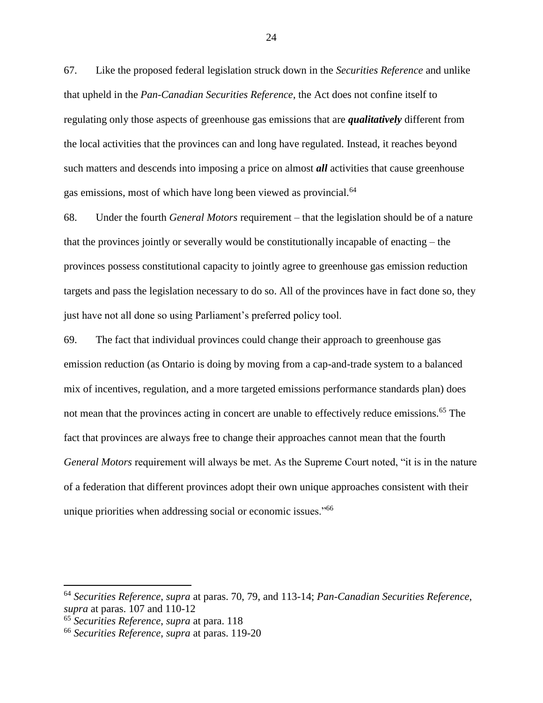67. Like the proposed federal legislation struck down in the *Securities Reference* and unlike that upheld in the *Pan-Canadian Securities Reference*, the Act does not confine itself to regulating only those aspects of greenhouse gas emissions that are *qualitatively* different from the local activities that the provinces can and long have regulated. Instead, it reaches beyond such matters and descends into imposing a price on almost *all* activities that cause greenhouse gas emissions, most of which have long been viewed as provincial.<sup>64</sup>

68. Under the fourth *General Motors* requirement – that the legislation should be of a nature that the provinces jointly or severally would be constitutionally incapable of enacting – the provinces possess constitutional capacity to jointly agree to greenhouse gas emission reduction targets and pass the legislation necessary to do so. All of the provinces have in fact done so, they just have not all done so using Parliament's preferred policy tool.

69. The fact that individual provinces could change their approach to greenhouse gas emission reduction (as Ontario is doing by moving from a cap-and-trade system to a balanced mix of incentives, regulation, and a more targeted emissions performance standards plan) does not mean that the provinces acting in concert are unable to effectively reduce emissions.<sup>65</sup> The fact that provinces are always free to change their approaches cannot mean that the fourth *General Motors* requirement will always be met. As the Supreme Court noted, "it is in the nature of a federation that different provinces adopt their own unique approaches consistent with their unique priorities when addressing social or economic issues."<sup>66</sup>

<sup>64</sup> *Securities Reference*, *supra* at paras. 70, 79, and 113-14; *Pan-Canadian Securities Reference*, *supra* at paras. 107 and 110-12

<sup>65</sup> *Securities Reference*, *supra* at para. 118

<sup>66</sup> *Securities Reference*, *supra* at paras. 119-20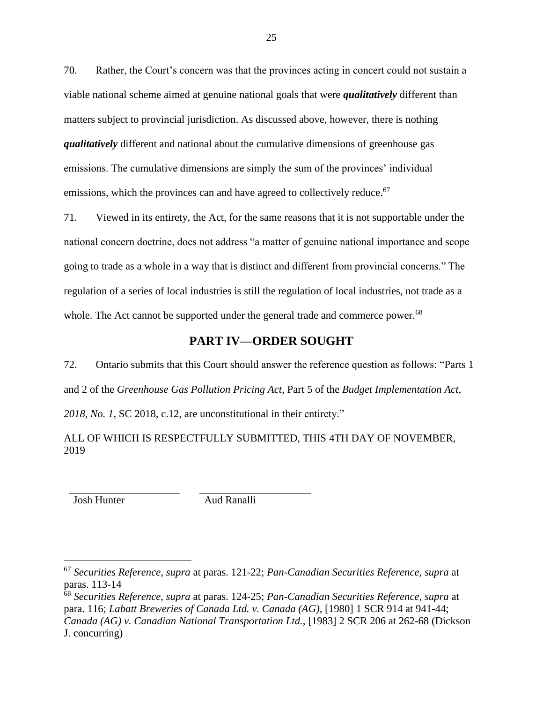70. Rather, the Court's concern was that the provinces acting in concert could not sustain a viable national scheme aimed at genuine national goals that were *qualitatively* different than matters subject to provincial jurisdiction. As discussed above, however, there is nothing *qualitatively* different and national about the cumulative dimensions of greenhouse gas emissions. The cumulative dimensions are simply the sum of the provinces' individual emissions, which the provinces can and have agreed to collectively reduce.<sup>67</sup>

71. Viewed in its entirety, the Act, for the same reasons that it is not supportable under the national concern doctrine, does not address "a matter of genuine national importance and scope going to trade as a whole in a way that is distinct and different from provincial concerns." The regulation of a series of local industries is still the regulation of local industries, not trade as a whole. The Act cannot be supported under the general trade and commerce power.<sup>68</sup>

# **PART IV—ORDER SOUGHT**

<span id="page-31-0"></span>72. Ontario submits that this Court should answer the reference question as follows: "Parts 1 and 2 of the *Greenhouse Gas Pollution Pricing Act*, Part 5 of the *Budget Implementation Act,* 

*2018, No. 1*, SC 2018, c.12, are unconstitutional in their entirety."

ALL OF WHICH IS RESPECTFULLY SUBMITTED, THIS 4TH DAY OF NOVEMBER, 2019

Josh Hunter Aud Ranalli

<sup>67</sup> *Securities Reference*, *supra* at paras. 121-22; *Pan-Canadian Securities Reference*, *supra* at paras. 113-14

<sup>68</sup> *Securities Reference*, *supra* at paras. 124-25; *Pan-Canadian Securities Reference*, *supra* at para. 116; *Labatt Breweries of Canada Ltd. v. Canada (AG)*, [1980] 1 SCR 914 at 941-44; *Canada (AG) v. Canadian National Transportation Ltd.*, [1983] 2 SCR 206 at 262-68 (Dickson J. concurring)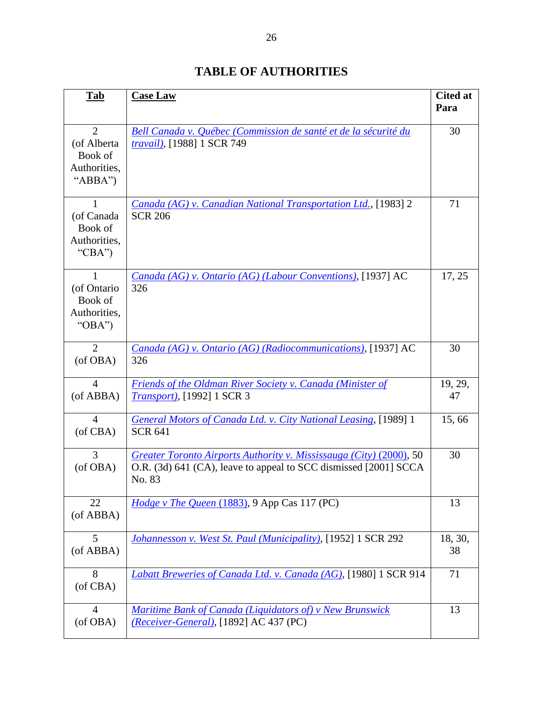<span id="page-32-0"></span>

| <b>Tab</b>                                                          | <b>Case Law</b>                                                                                                                                   | <b>Cited at</b><br>Para |
|---------------------------------------------------------------------|---------------------------------------------------------------------------------------------------------------------------------------------------|-------------------------|
| $\overline{2}$<br>(of Alberta<br>Book of<br>Authorities,<br>"ABBA") | Bell Canada v. Québec (Commission de santé et de la sécurité du<br>travail), [1988] 1 SCR 749                                                     | 30                      |
| $\mathbf{1}$<br>(of Canada<br>Book of<br>Authorities,<br>"CBA")     | Canada (AG) v. Canadian National Transportation Ltd., [1983] 2<br><b>SCR 206</b>                                                                  | 71                      |
| 1<br>(of Ontario<br>Book of<br>Authorities,<br>" $OBA"$             | Canada (AG) v. Ontario (AG) (Labour Conventions), [1937] AC<br>326                                                                                | 17, 25                  |
| $\overline{2}$<br>(of OBA)                                          | Canada (AG) v. Ontario (AG) (Radiocommunications), [1937] AC<br>326                                                                               | 30                      |
| $\overline{4}$<br>(of ABBA)                                         | Friends of the Oldman River Society v. Canada (Minister of<br><i>Transport</i> ), [1992] 1 SCR 3                                                  | 19, 29,<br>47           |
| $\overline{4}$<br>(of CBA)                                          | <b>General Motors of Canada Ltd. v. City National Leasing, [1989] 1</b><br><b>SCR 641</b>                                                         | 15,66                   |
| 3<br>(of OBA)                                                       | Greater Toronto Airports Authority v. Mississauga (City) (2000), 50<br>O.R. (3d) 641 (CA), leave to appeal to SCC dismissed [2001] SCCA<br>No. 83 | 30                      |
| 22<br>(of ABBA)                                                     | Hodge v The Queen (1883), 9 App Cas 117 (PC)                                                                                                      | 13                      |
| 5<br>(of ABBA)                                                      | Johannesson v. West St. Paul (Municipality), [1952] 1 SCR 292                                                                                     | 18, 30,<br>38           |
| 8<br>(of CBA)                                                       | Labatt Breweries of Canada Ltd. v. Canada (AG), [1980] 1 SCR 914                                                                                  | 71                      |
| $\overline{4}$<br>(of OBA)                                          | Maritime Bank of Canada (Liquidators of) v New Brunswick<br>(Receiver-General), [1892] AC 437 (PC)                                                | 13                      |

# **TABLE OF AUTHORITIES**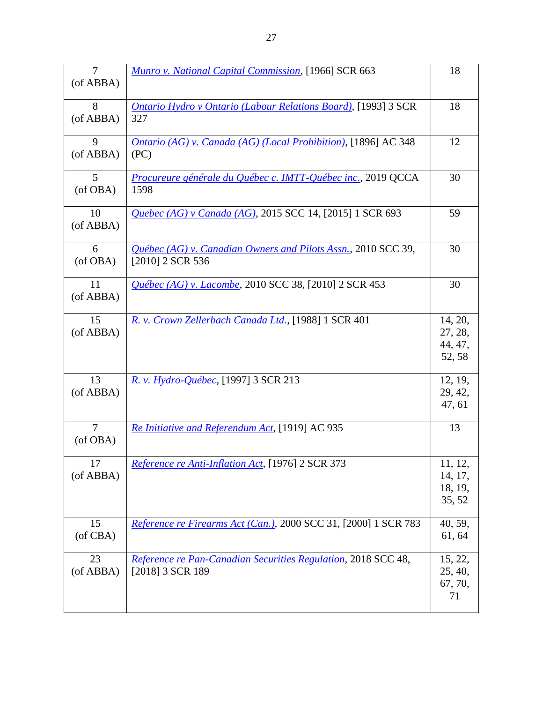| 7<br>(of ABBA)             | <b>Munro v. National Capital Commission, [1966] SCR 663</b>                         | 18                                      |
|----------------------------|-------------------------------------------------------------------------------------|-----------------------------------------|
| 8<br>(of ABBA)             | <b>Ontario Hydro v Ontario (Labour Relations Board), [1993] 3 SCR</b><br>327        | 18                                      |
| 9<br>(of ABBA)             | Ontario (AG) v. Canada (AG) (Local Prohibition), [1896] AC 348<br>(PC)              | 12                                      |
| 5<br>(of OBA)              | Procureure générale du Québec c. IMTT-Québec inc., 2019 QCCA<br>1598                | 30                                      |
| 10<br>(of ABBA)            | Quebec (AG) v Canada (AG), 2015 SCC 14, [2015] 1 SCR 693                            | 59                                      |
| 6<br>(of OBA)              | Québec (AG) v. Canadian Owners and Pilots Assn., 2010 SCC 39,<br>$[2010]$ 2 SCR 536 | 30                                      |
| 11<br>(of ABBA)            | Québec (AG) v. Lacombe, 2010 SCC 38, [2010] 2 SCR 453                               | 30                                      |
| 15<br>(of ABBA)            | R. v. Crown Zellerbach Canada Ltd., [1988] 1 SCR 401                                | 14, 20,<br>27, 28,<br>44, 47,<br>52, 58 |
| 13<br>(of ABBA)            | R. v. Hydro-Québec, [1997] 3 SCR 213                                                | 12, 19,<br>29, 42,<br>47, 61            |
| $\overline{7}$<br>(of OBA) | Re Initiative and Referendum Act, [1919] AC 935                                     | 13                                      |
| 17<br>(of ABBA)            | Reference re Anti-Inflation Act, [1976] 2 SCR 373                                   | 11, 12,<br>14, 17,<br>18, 19,<br>35, 52 |
| 15<br>(of CBA)             | Reference re Firearms Act (Can.), 2000 SCC 31, [2000] 1 SCR 783                     | 40, 59,<br>61, 64                       |
| 23<br>(of ABBA)            | Reference re Pan-Canadian Securities Regulation, 2018 SCC 48,<br>[2018] 3 SCR 189   | 15, 22,<br>25, 40,<br>67, 70,<br>71     |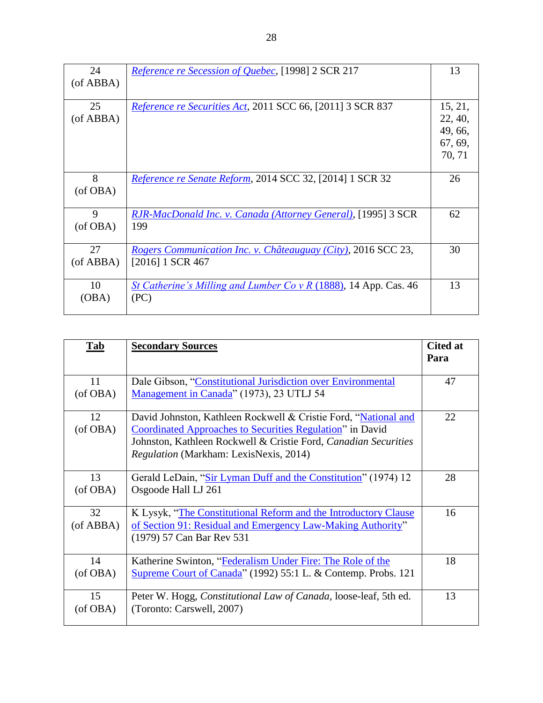| 24              | Reference re Secession of Quebec, [1998] 2 SCR 217                                         | 13                                                 |
|-----------------|--------------------------------------------------------------------------------------------|----------------------------------------------------|
| $($ of ABBA $)$ |                                                                                            |                                                    |
| 25<br>(of ABBA) | Reference re Securities Act, 2011 SCC 66, [2011] 3 SCR 837                                 | 15, 21,<br>22, 40,<br>49, 66,<br>67, 69,<br>70, 71 |
| 8<br>(of OBA)   | Reference re Senate Reform, 2014 SCC 32, [2014] 1 SCR 32                                   | 26                                                 |
| 9<br>(of OBA)   | RJR-MacDonald Inc. v. Canada (Attorney General), [1995] 3 SCR<br>199                       | 62                                                 |
| 27<br>(of ABBA) | <i>Rogers Communication Inc. v. Châteauguay (City), 2016 SCC 23,</i><br>$[2016]$ 1 SCR 467 | 30                                                 |
| 10<br>(OBA)     | St Catherine's Milling and Lumber Co v R (1888), 14 App. Cas. 46<br>(PC)                   | 13                                                 |

| <b>Tab</b>            | <b>Secondary Sources</b>                                                                                                                                                                                                                                 | <b>Cited at</b><br>Para |
|-----------------------|----------------------------------------------------------------------------------------------------------------------------------------------------------------------------------------------------------------------------------------------------------|-------------------------|
| 11<br>(of OBA)        | Dale Gibson, "Constitutional Jurisdiction over Environmental<br>Management in Canada" (1973), 23 UTLJ 54                                                                                                                                                 | 47                      |
| 12<br>(of OBA)        | David Johnston, Kathleen Rockwell & Cristie Ford, "National and<br><b>Coordinated Approaches to Securities Regulation</b> " in David<br>Johnston, Kathleen Rockwell & Cristie Ford, Canadian Securities<br><i>Regulation</i> (Markham: LexisNexis, 2014) | 22                      |
| 13<br>(of OBA)        | Gerald LeDain, "Sir Lyman Duff and the Constitution" (1974) 12<br>Osgoode Hall LJ 261                                                                                                                                                                    | 28                      |
| 32<br>$($ of ABBA $)$ | K Lysyk, "The Constitutional Reform and the Introductory Clause<br>of Section 91: Residual and Emergency Law-Making Authority"<br>(1979) 57 Can Bar Rev 531                                                                                              | 16                      |
| 14<br>(of OBA)        | Katherine Swinton, "Federalism Under Fire: The Role of the<br>Supreme Court of Canada" (1992) 55:1 L. & Contemp. Probs. 121                                                                                                                              | 18                      |
| 15<br>(of OBA)        | Peter W. Hogg, Constitutional Law of Canada, loose-leaf, 5th ed.<br>(Toronto: Carswell, 2007)                                                                                                                                                            | 13                      |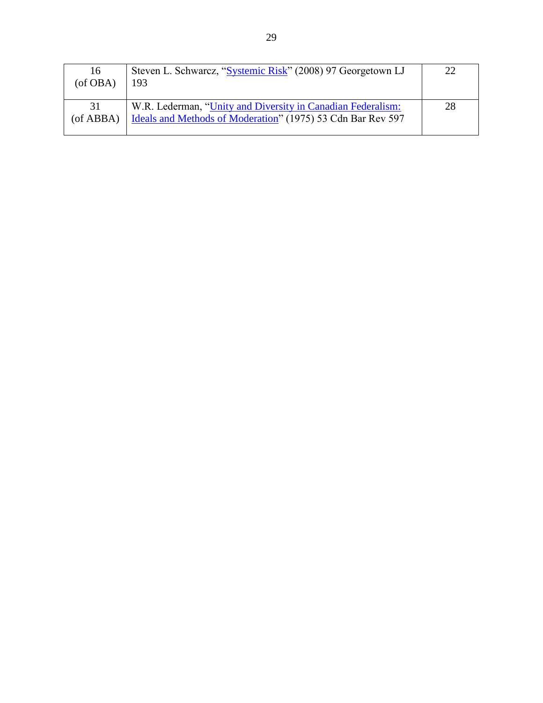| 16<br>(of OBA)  | Steven L. Schwarcz, "Systemic Risk" (2008) 97 Georgetown LJ<br>193                                                         | 22 |
|-----------------|----------------------------------------------------------------------------------------------------------------------------|----|
| 31<br>(of ABBA) | W.R. Lederman, "Unity and Diversity in Canadian Federalism:<br>Ideals and Methods of Moderation" (1975) 53 Cdn Bar Rev 597 | 28 |